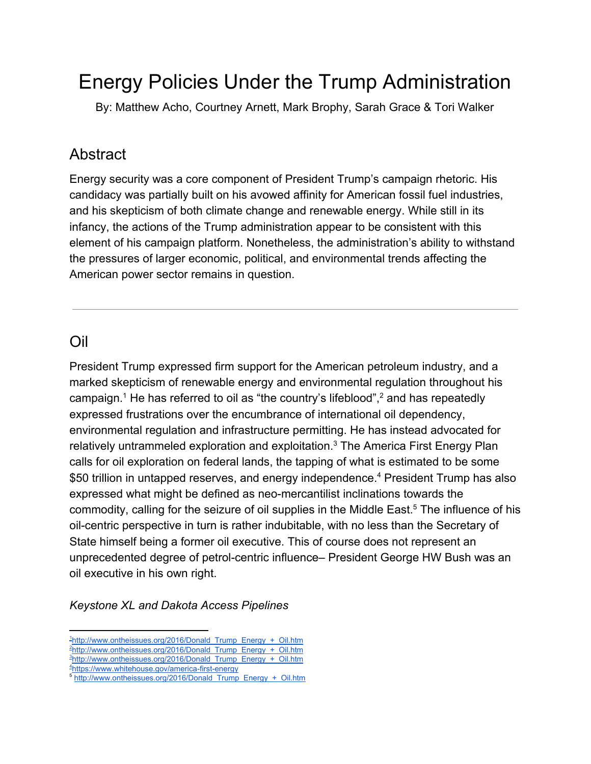# Energy Policies Under the Trump Administration

By: Matthew Acho, Courtney Arnett, Mark Brophy, Sarah Grace & Tori Walker

### **Abstract**

Energy security was a core component of President Trump's campaign rhetoric. His candidacy was partially built on his avowed affinity for American fossil fuel industries, and his skepticism of both climate change and renewable energy. While still in its infancy, the actions of the Trump administration appear to be consistent with this element of his campaign platform. Nonetheless, the administration's ability to withstand the pressures of larger economic, political, and environmental trends affecting the American power sector remains in question.

### Oil

President Trump expressed firm support for the American petroleum industry, and a marked skepticism of renewable energy and environmental regulation throughout his campaign.<sup>1</sup> He has referred to oil as "the country's lifeblood",  $2$  and has repeatedly expressed frustrations over the encumbrance of international oil dependency, environmental regulation and infrastructure permitting. He has instead advocated for relatively untrammeled exploration and exploitation.<sup>3</sup> The America First Energy Plan calls for oil exploration on federal lands, the tapping of what is estimated to be some \$50 trillion in untapped reserves, and energy independence.<sup>4</sup> President Trump has also expressed what might be defined as neo-mercantilist inclinations towards the commodity, calling for the seizure of oil supplies in the Middle East.<sup>5</sup> The influence of his oil-centric perspective in turn is rather indubitable, with no less than the Secretary of State himself being a former oil executive. This of course does not represent an unprecedented degree of petrol-centric influence– President George HW Bush was an oil executive in his own right.

*Keystone XL and Dakota Access Pipelines*

<sup>&</sup>lt;sup>1</sup>[http://www.ontheissues.org/2016/Donald\\_Trump\\_Energy\\_+\\_Oil.htm](http://www.ontheissues.org/2016/Donald_Trump_Energy_+_Oil.htm)

<sup>&</sup>lt;sup>2</sup>[http://www.ontheissues.org/2016/Donald\\_Trump\\_Energy\\_+\\_Oil.htm](http://www.ontheissues.org/2016/Donald_Trump_Energy_+_Oil.htm)

 $3$ http://www.ontheissues.org/2016/Donald Trump Energy + Oil.htm

<sup>4</sup><https://www.whitehouse.gov/america-first-energy>

<sup>5</sup> [http://www.ontheissues.org/2016/Donald\\_Trump\\_Energy\\_+\\_Oil.htm](http://www.ontheissues.org/2016/Donald_Trump_Energy_+_Oil.htm)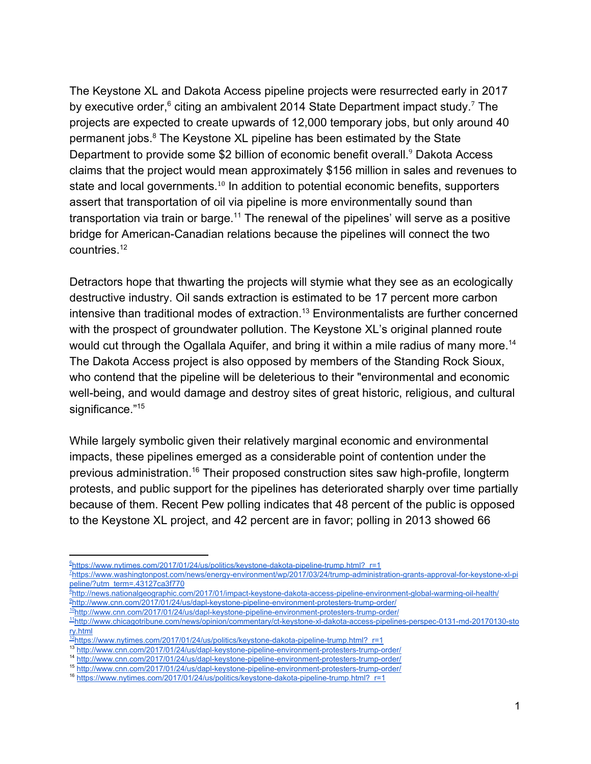The Keystone XL and Dakota Access pipeline projects were resurrected early in 2017 by executive order, $6$  citing an ambivalent 2014 State Department impact study.<sup>7</sup> The projects are expected to create upwards of 12,000 temporary jobs, but only around 40 permanent jobs.<sup>8</sup> The Keystone XL pipeline has been estimated by the State Department to provide some \$2 billion of economic benefit overall.<sup>9</sup> Dakota Access claims that the project would mean approximately \$156 million in sales and revenues to state and local governments.<sup>10</sup> In addition to potential economic benefits, supporters assert that transportation of oil via pipeline is more environmentally sound than transportation via train or barge.<sup>11</sup> The renewal of the pipelines' will serve as a positive bridge for American-Canadian relations because the pipelines will connect the two countries.<sup>12</sup>

Detractors hope that thwarting the projects will stymie what they see as an ecologically destructive industry. Oil sands extraction is estimated to be 17 percent more carbon intensive than traditional modes of extraction.<sup>13</sup> Environmentalists are further concerned with the prospect of groundwater pollution. The Keystone XL's original planned route would cut through the Ogallala Aquifer, and bring it within a mile radius of many more.<sup>14</sup> The Dakota Access project is also opposed by members of the Standing Rock Sioux, who contend that the pipeline will be deleterious to their "environmental and economic well-being, and would damage and destroy sites of great historic, religious, and cultural significance."<sup>15</sup>

While largely symbolic given their relatively marginal economic and environmental impacts, these pipelines emerged as a considerable point of contention under the previous administration.<sup>16</sup> Their proposed construction sites saw high-profile, longterm protests, and public support for the pipelines has deteriorated sharply over time partially because of them. Recent Pew polling indicates that 48 percent of the public is opposed to the Keystone XL project, and 42 percent are in favor; polling in 2013 showed 66

<sup>6</sup>[https://www.nytimes.com/2017/01/24/us/politics/keystone-dakota-pipeline-trump.html?\\_r=1](https://www.nytimes.com/2017/01/24/us/politics/keystone-dakota-pipeline-trump.html?_r=1)

<sup>7</sup>[https://www.washingtonpost.com/news/energy-environment/wp/2017/03/24/trump-administration-grants-approval-for-keystone-xl-pi](https://www.washingtonpost.com/news/energy-environment/wp/2017/03/24/trump-administration-grants-approval-for-keystone-xl-pipeline/?utm_term=.43127ca3f770) [peline/?utm\\_term=.43127ca3f770](https://www.washingtonpost.com/news/energy-environment/wp/2017/03/24/trump-administration-grants-approval-for-keystone-xl-pipeline/?utm_term=.43127ca3f770)

<sup>8</sup><http://news.nationalgeographic.com/2017/01/impact-keystone-dakota-access-pipeline-environment-global-warming-oil-health/> <sup>9</sup><http://www.cnn.com/2017/01/24/us/dapl-keystone-pipeline-environment-protesters-trump-order/>

 $10$ <http://www.cnn.com/2017/01/24/us/dapl-keystone-pipeline-environment-protesters-trump-order/>

<sup>11</sup>[http://www.chicagotribune.com/news/opinion/commentary/ct-keystone-xl-dakota-access-pipelines-perspec-0131-md-20170130-sto](http://www.chicagotribune.com/news/opinion/commentary/ct-keystone-xl-dakota-access-pipelines-perspec-0131-md-20170130-story.html) [ry.html](http://www.chicagotribune.com/news/opinion/commentary/ct-keystone-xl-dakota-access-pipelines-perspec-0131-md-20170130-story.html)

<sup>&</sup>lt;sup>12</sup>[https://www.nytimes.com/2017/01/24/us/politics/keystone-dakota-pipeline-trump.html?\\_r=1](https://www.nytimes.com/2017/01/24/us/politics/keystone-dakota-pipeline-trump.html?_r=1)

<sup>13</sup> <http://www.cnn.com/2017/01/24/us/dapl-keystone-pipeline-environment-protesters-trump-order/>

<sup>14</sup> <http://www.cnn.com/2017/01/24/us/dapl-keystone-pipeline-environment-protesters-trump-order/>

<sup>15</sup> <http://www.cnn.com/2017/01/24/us/dapl-keystone-pipeline-environment-protesters-trump-order/> 16 [https://www.nytimes.com/2017/01/24/us/politics/keystone-dakota-pipeline-trump.html?\\_r=1](https://www.nytimes.com/2017/01/24/us/politics/keystone-dakota-pipeline-trump.html?_r=1)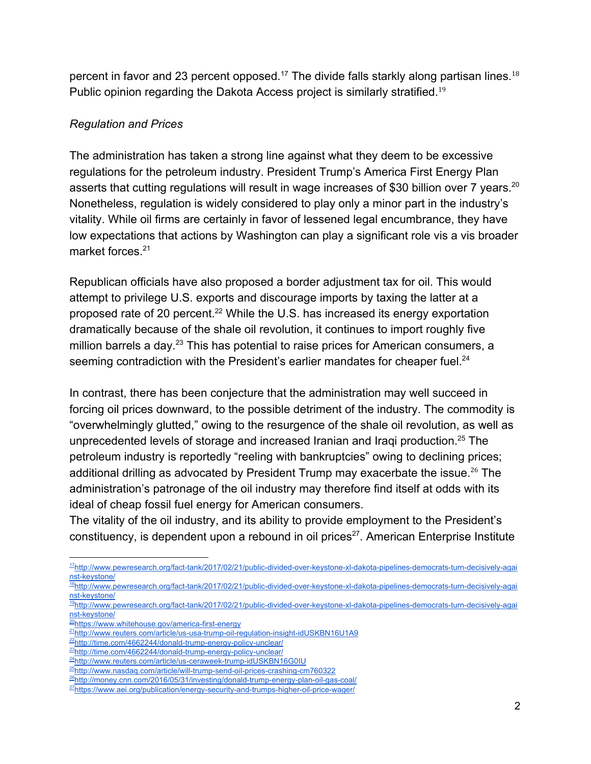percent in favor and 23 percent opposed.<sup>17</sup> The divide falls starkly along partisan lines.<sup>18</sup> Public opinion regarding the Dakota Access project is similarly stratified.<sup>19</sup>

#### *Regulation and Prices*

The administration has taken a strong line against what they deem to be excessive regulations for the petroleum industry. President Trump's America First Energy Plan asserts that cutting regulations will result in wage increases of \$30 billion over 7 years.<sup>20</sup> Nonetheless, regulation is widely considered to play only a minor part in the industry's vitality. While oil firms are certainly in favor of lessened legal encumbrance, they have low expectations that actions by Washington can play a significant role vis a vis broader market forces.<sup>21</sup>

Republican officials have also proposed a border adjustment tax for oil. This would attempt to privilege U.S. exports and discourage imports by taxing the latter at a proposed rate of 20 percent. $22$  While the U.S. has increased its energy exportation dramatically because of the shale oil revolution, it continues to import roughly five million barrels a day.<sup>23</sup> This has potential to raise prices for American consumers, a seeming contradiction with the President's earlier mandates for cheaper fuel.<sup>24</sup>

In contrast, there has been conjecture that the administration may well succeed in forcing oil prices downward, to the possible detriment of the industry. The commodity is "overwhelmingly glutted," owing to the resurgence of the shale oil revolution, as well as unprecedented levels of storage and increased Iranian and Iraqi production.<sup>25</sup> The petroleum industry is reportedly "reeling with bankruptcies" owing to declining prices; additional drilling as advocated by President Trump may exacerbate the issue.<sup>26</sup> The administration's patronage of the oil industry may therefore find itself at odds with its ideal of cheap fossil fuel energy for American consumers.

The vitality of the oil industry, and its ability to provide employment to the President's constituency, is dependent upon a rebound in oil prices<sup>27</sup>. American Enterprise Institute

<sup>20</sup><https://www.whitehouse.gov/america-first-energy>

<sup>17</sup>[http://www.pewresearch.org/fact-tank/2017/02/21/public-divided-over-keystone-xl-dakota-pipelines-democrats-turn-decisively-agai](http://www.pewresearch.org/fact-tank/2017/02/21/public-divided-over-keystone-xl-dakota-pipelines-democrats-turn-decisively-against-keystone/) [nst-keystone/](http://www.pewresearch.org/fact-tank/2017/02/21/public-divided-over-keystone-xl-dakota-pipelines-democrats-turn-decisively-against-keystone/)

<sup>18</sup>[http://www.pewresearch.org/fact-tank/2017/02/21/public-divided-over-keystone-xl-dakota-pipelines-democrats-turn-decisively-agai](http://www.pewresearch.org/fact-tank/2017/02/21/public-divided-over-keystone-xl-dakota-pipelines-democrats-turn-decisively-against-keystone/) [nst-keystone/](http://www.pewresearch.org/fact-tank/2017/02/21/public-divided-over-keystone-xl-dakota-pipelines-democrats-turn-decisively-against-keystone/)

<sup>19</sup>[http://www.pewresearch.org/fact-tank/2017/02/21/public-divided-over-keystone-xl-dakota-pipelines-democrats-turn-decisively-agai](http://www.pewresearch.org/fact-tank/2017/02/21/public-divided-over-keystone-xl-dakota-pipelines-democrats-turn-decisively-against-keystone/) [nst-keystone/](http://www.pewresearch.org/fact-tank/2017/02/21/public-divided-over-keystone-xl-dakota-pipelines-democrats-turn-decisively-against-keystone/)

<sup>&</sup>lt;sup>21</sup><http://www.reuters.com/article/us-usa-trump-oil-regulation-insight-idUSKBN16U1A9>

<sup>&</sup>lt;sup>22</sup><http://time.com/4662244/donald-trump-energy-policy-unclear/>

<sup>23</sup><http://time.com/4662244/donald-trump-energy-policy-unclear/>

<sup>&</sup>lt;sup>24</sup><http://www.reuters.com/article/us-ceraweek-trump-idUSKBN16G0IU>

<sup>&</sup>lt;sup>25</sup><http://www.nasdaq.com/article/will-trump-send-oil-prices-crashing-cm760322>

<sup>&</sup>lt;sup>26</sup><http://money.cnn.com/2016/05/31/investing/donald-trump-energy-plan-oil-gas-coal/>

<sup>&</sup>lt;sup>27</sup><https://www.aei.org/publication/energy-security-and-trumps-higher-oil-price-wager/>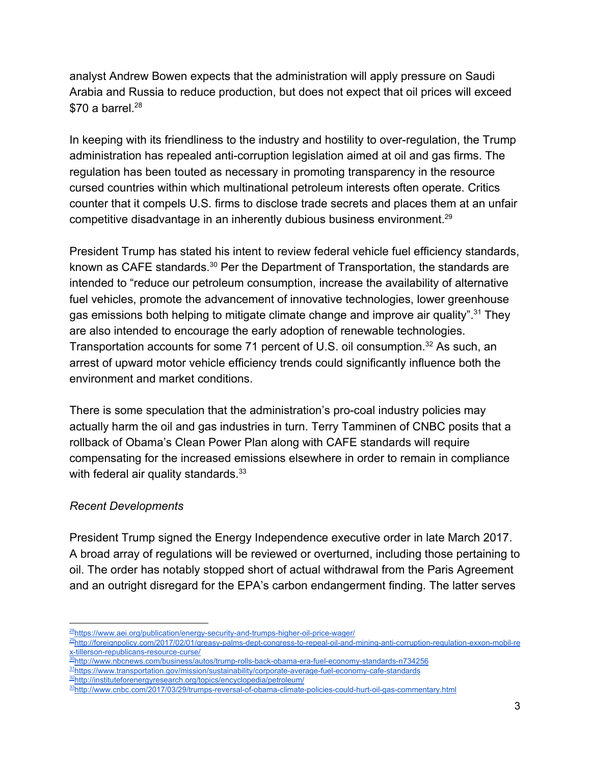analyst Andrew Bowen expects that the administration will apply pressure on Saudi Arabia and Russia to reduce production, but does not expect that oil prices will exceed  $$70 a barrel.<sup>28</sup>$ 

In keeping with its friendliness to the industry and hostility to over-regulation, the Trump administration has repealed anti-corruption legislation aimed at oil and gas firms. The regulation has been touted as necessary in promoting transparency in the resource cursed countries within which multinational petroleum interests often operate. Critics counter that it compels U.S. firms to disclose trade secrets and places them at an unfair competitive disadvantage in an inherently dubious business environment.<sup>29</sup>

President Trump has stated his intent to review federal vehicle fuel efficiency standards, known as CAFE standards.<sup>30</sup> Per the Department of Transportation, the standards are intended to "reduce our petroleum consumption, increase the availability of alternative fuel vehicles, promote the advancement of innovative technologies, lower greenhouse gas emissions both helping to mitigate climate change and improve air quality".<sup>31</sup> They are also intended to encourage the early adoption of renewable technologies. Transportation accounts for some 71 percent of U.S. oil consumption.<sup>32</sup> As such, an arrest of upward motor vehicle efficiency trends could significantly influence both the environment and market conditions.

There is some speculation that the administration's pro-coal industry policies may actually harm the oil and gas industries in turn. Terry Tamminen of CNBC posits that a rollback of Obama's Clean Power Plan along with CAFE standards will require compensating for the increased emissions elsewhere in order to remain in compliance with federal air quality standards.<sup>33</sup>

#### *Recent Developments*

President Trump signed the Energy Independence executive order in late March 2017. A broad array of regulations will be reviewed or overturned, including those pertaining to oil. The order has notably stopped short of actual withdrawal from the Paris Agreement and an outright disregard for the EPA's carbon endangerment finding. The latter serves

<sup>&</sup>lt;sup>28</sup><https://www.aei.org/publication/energy-security-and-trumps-higher-oil-price-wager/>

<sup>&</sup>lt;sup>29</sup>[http://foreignpolicy.com/2017/02/01/greasy-palms-dept-congress-to-repeal-oil-and-mining-anti-corruption-regulation-exxon-mobil-re](http://foreignpolicy.com/2017/02/01/greasy-palms-dept-congress-to-repeal-oil-and-mining-anti-corruption-regulation-exxon-mobil-rex-tillerson-republicans-resource-curse/) [x-tillerson-republicans-resource-curse/](http://foreignpolicy.com/2017/02/01/greasy-palms-dept-congress-to-repeal-oil-and-mining-anti-corruption-regulation-exxon-mobil-rex-tillerson-republicans-resource-curse/)

<sup>30</sup><http://www.nbcnews.com/business/autos/trump-rolls-back-obama-era-fuel-economy-standards-n734256> 31<https://www.transportation.gov/mission/sustainability/corporate-average-fuel-economy-cafe-standards> 32<http://instituteforenergyresearch.org/topics/encyclopedia/petroleum/>

<sup>33</sup><http://www.cnbc.com/2017/03/29/trumps-reversal-of-obama-climate-policies-could-hurt-oil-gas-commentary.html>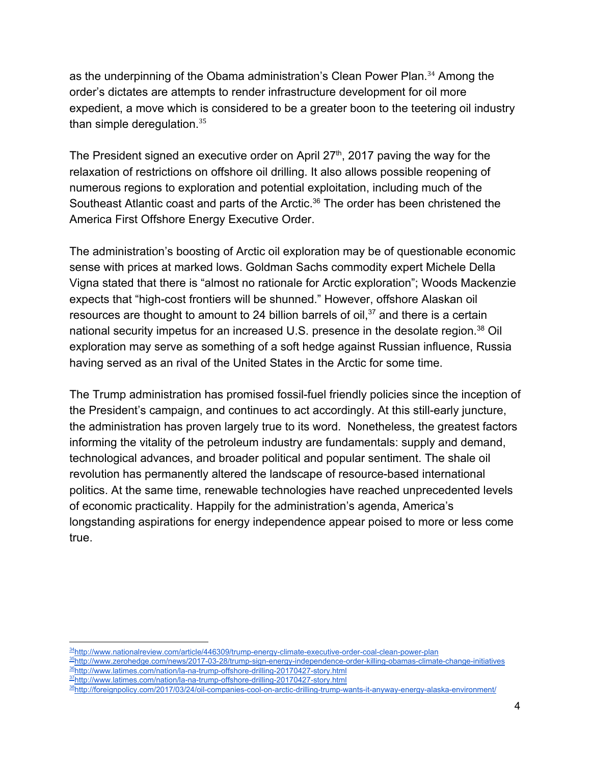as the underpinning of the Obama administration's Clean Power Plan.<sup>34</sup> Among the order's dictates are attempts to render infrastructure development for oil more expedient, a move which is considered to be a greater boon to the teetering oil industry than simple deregulation.<sup>35</sup>

The President signed an executive order on April  $27<sup>th</sup>$ , 2017 paving the way for the relaxation of restrictions on offshore oil drilling. It also allows possible reopening of numerous regions to exploration and potential exploitation, including much of the Southeast Atlantic coast and parts of the Arctic.<sup>36</sup> The order has been christened the America First Offshore Energy Executive Order.

The administration's boosting of Arctic oil exploration may be of questionable economic sense with prices at marked lows. Goldman Sachs commodity expert Michele Della Vigna stated that there is "almost no rationale for Arctic exploration"; Woods Mackenzie expects that "high-cost frontiers will be shunned." However, offshore Alaskan oil resources are thought to amount to 24 billion barrels of oil, $37$  and there is a certain national security impetus for an increased U.S. presence in the desolate region.<sup>38</sup> Oil exploration may serve as something of a soft hedge against Russian influence, Russia having served as an rival of the United States in the Arctic for some time.

The Trump administration has promised fossil-fuel friendly policies since the inception of the President's campaign, and continues to act accordingly. At this still-early juncture, the administration has proven largely true to its word. Nonetheless, the greatest factors informing the vitality of the petroleum industry are fundamentals: supply and demand, technological advances, and broader political and popular sentiment. The shale oil revolution has permanently altered the landscape of resource-based international politics. At the same time, renewable technologies have reached unprecedented levels of economic practicality. Happily for the administration's agenda, America's longstanding aspirations for energy independence appear poised to more or less come true.

<sup>34</sup><http://www.nationalreview.com/article/446309/trump-energy-climate-executive-order-coal-clean-power-plan> <sup>35</sup><http://www.zerohedge.com/news/2017-03-28/trump-sign-energy-independence-order-killing-obamas-climate-change-initiatives> 36<http://www.latimes.com/nation/la-na-trump-offshore-drilling-20170427-story.html> 37<http://www.latimes.com/nation/la-na-trump-offshore-drilling-20170427-story.html>

<sup>38</sup><http://foreignpolicy.com/2017/03/24/oil-companies-cool-on-arctic-drilling-trump-wants-it-anyway-energy-alaska-environment/>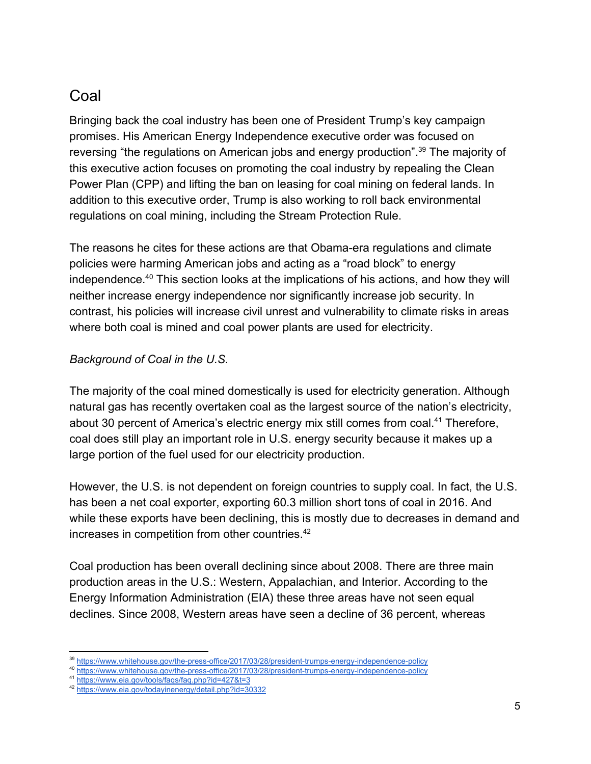# Coal

Bringing back the coal industry has been one of President Trump's key campaign promises. His American Energy Independence executive order was focused on reversing "the regulations on American jobs and energy production".<sup>39</sup> The majority of this executive action focuses on promoting the coal industry by repealing the Clean Power Plan (CPP) and lifting the ban on leasing for coal mining on federal lands. In addition to this executive order, Trump is also working to roll back environmental regulations on coal mining, including the Stream Protection Rule.

The reasons he cites for these actions are that Obama-era regulations and climate policies were harming American jobs and acting as a "road block" to energy independence.<sup> $40$ </sup> This section looks at the implications of his actions, and how they will neither increase energy independence nor significantly increase job security. In contrast, his policies will increase civil unrest and vulnerability to climate risks in areas where both coal is mined and coal power plants are used for electricity.

#### *Background of Coal in the U.S.*

The majority of the coal mined domestically is used for electricity generation. Although natural gas has recently overtaken coal as the largest source of the nation's electricity, about 30 percent of America's electric energy mix still comes from coal.<sup>41</sup> Therefore, coal does still play an important role in U.S. energy security because it makes up a large portion of the fuel used for our electricity production.

However, the U.S. is not dependent on foreign countries to supply coal. In fact, the U.S. has been a net coal exporter, exporting 60.3 million short tons of coal in 2016. And while these exports have been declining, this is mostly due to decreases in demand and increases in competition from other countries.<sup>42</sup>

Coal production has been overall declining since about 2008. There are three main production areas in the U.S.: Western, Appalachian, and Interior. According to the Energy Information Administration (EIA) these three areas have not seen equal declines. Since 2008, Western areas have seen a decline of 36 percent, whereas

<sup>39</sup> <https://www.whitehouse.gov/the-press-office/2017/03/28/president-trumps-energy-independence-policy>

<sup>40</sup> <https://www.whitehouse.gov/the-press-office/2017/03/28/president-trumps-energy-independence-policy>

<sup>41</sup> <https://www.eia.gov/tools/faqs/faq.php?id=427&t=3>

<sup>42</sup> <https://www.eia.gov/todayinenergy/detail.php?id=30332>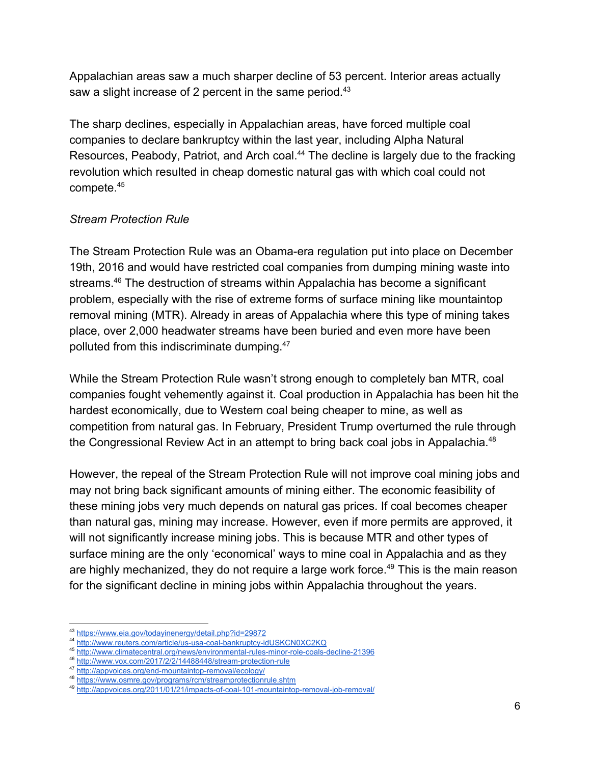Appalachian areas saw a much sharper decline of 53 percent. Interior areas actually saw a slight increase of 2 percent in the same period.<sup>43</sup>

The sharp declines, especially in Appalachian areas, have forced multiple coal companies to declare bankruptcy within the last year, including Alpha Natural Resources, Peabody, Patriot, and Arch coal.<sup>44</sup> The decline is largely due to the fracking revolution which resulted in cheap domestic natural gas with which coal could not compete.<sup>45</sup>

#### *Stream Protection Rule*

The Stream Protection Rule was an Obama-era regulation put into place on December 19th, 2016 and would have restricted coal companies from dumping mining waste into streams.<sup>46</sup> The destruction of streams within Appalachia has become a significant problem, especially with the rise of extreme forms of surface mining like mountaintop removal mining (MTR). Already in areas of Appalachia where this type of mining takes place, over 2,000 headwater streams have been buried and even more have been polluted from this indiscriminate dumping.<sup>47</sup>

While the Stream Protection Rule wasn't strong enough to completely ban MTR, coal companies fought vehemently against it. Coal production in Appalachia has been hit the hardest economically, due to Western coal being cheaper to mine, as well as competition from natural gas. In February, President Trump overturned the rule through the Congressional Review Act in an attempt to bring back coal jobs in Appalachia.<sup>48</sup>

However, the repeal of the Stream Protection Rule will not improve coal mining jobs and may not bring back significant amounts of mining either. The economic feasibility of these mining jobs very much depends on natural gas prices. If coal becomes cheaper than natural gas, mining may increase. However, even if more permits are approved, it will not significantly increase mining jobs. This is because MTR and other types of surface mining are the only 'economical' ways to mine coal in Appalachia and as they are highly mechanized, they do not require a large work force.<sup>49</sup> This is the main reason for the significant decline in mining jobs within Appalachia throughout the years.

<https://www.eia.gov/todayinenergy/detail.php?id=29872>

<sup>44</sup> <http://www.reuters.com/article/us-usa-coal-bankruptcy-idUSKCN0XC2KQ>

<sup>45</sup> <http://www.climatecentral.org/news/environmental-rules-minor-role-coals-decline-21396>

<sup>46</sup> <http://www.vox.com/2017/2/2/14488448/stream-protection-rule>

<sup>47</sup> <http://appvoices.org/end-mountaintop-removal/ecology/>

<sup>48</sup> <https://www.osmre.gov/programs/rcm/streamprotectionrule.shtm>

<sup>49</sup> <http://appvoices.org/2011/01/21/impacts-of-coal-101-mountaintop-removal-job-removal/>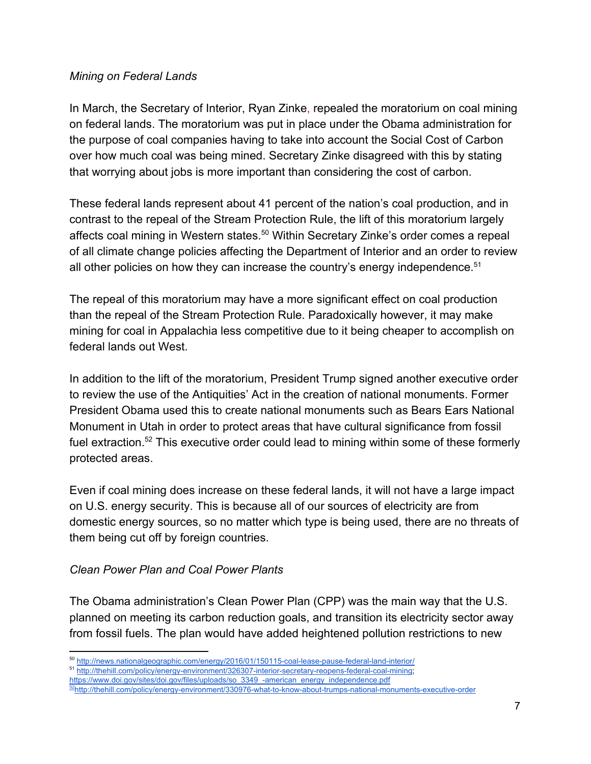#### *Mining on Federal Lands*

In March, the Secretary of Interior, Ryan Zinke, repealed the moratorium on coal mining on federal lands. The moratorium was put in place under the Obama administration for the purpose of coal companies having to take into account the Social Cost of Carbon over how much coal was being mined. Secretary Zinke disagreed with this by stating that worrying about jobs is more important than considering the cost of carbon.

These federal lands represent about 41 percent of the nation's coal production, and in contrast to the repeal of the Stream Protection Rule, the lift of this moratorium largely affects coal mining in Western states.<sup>50</sup> Within Secretary Zinke's order comes a repeal of all climate change policies affecting the Department of Interior and an order to review all other policies on how they can increase the country's energy independence.<sup>51</sup>

The repeal of this moratorium may have a more significant effect on coal production than the repeal of the Stream Protection Rule. Paradoxically however, it may make mining for coal in Appalachia less competitive due to it being cheaper to accomplish on federal lands out West.

In addition to the lift of the moratorium, President Trump signed another executive order to review the use of the Antiquities' Act in the creation of national monuments. Former President Obama used this to create national monuments such as Bears Ears National Monument in Utah in order to protect areas that have cultural significance from fossil fuel extraction.<sup>52</sup> This executive order could lead to mining within some of these formerly protected areas.

Even if coal mining does increase on these federal lands, it will not have a large impact on U.S. energy security. This is because all of our sources of electricity are from domestic energy sources, so no matter which type is being used, there are no threats of them being cut off by foreign countries.

#### *Clean Power Plan and Coal Power Plants*

The Obama administration's Clean Power Plan (CPP) was the main way that the U.S. planned on meeting its carbon reduction goals, and transition its electricity sector away from fossil fuels. The plan would have added heightened pollution restrictions to new

<sup>51</sup> [http://thehill.com/policy/energy-environment/326307-interior-secretary-reopens-federal-coal-mining;](http://thehill.com/policy/energy-environment/326307-interior-secretary-reopens-federal-coal-mining)

[https://www.doi.gov/sites/doi.gov/files/uploads/so\\_3349\\_-american\\_energy\\_independence.pdf](https://www.doi.gov/sites/doi.gov/files/uploads/so_3349_-american_energy_independence.pdf)

<sup>50</sup> <http://news.nationalgeographic.com/energy/2016/01/150115-coal-lease-pause-federal-land-interior/>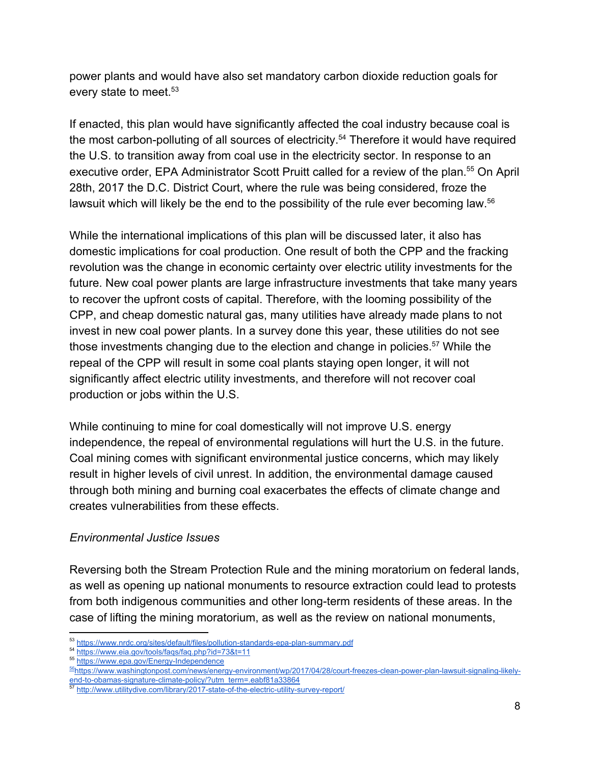power plants and would have also set mandatory carbon dioxide reduction goals for every state to meet.<sup>53</sup>

If enacted, this plan would have significantly affected the coal industry because coal is the most carbon-polluting of all sources of electricity.<sup>54</sup> Therefore it would have required the U.S. to transition away from coal use in the electricity sector. In response to an executive order, EPA Administrator Scott Pruitt called for a review of the plan.<sup>55</sup> On April 28th, 2017 the D.C. District Court, where the rule was being considered, froze the lawsuit which will likely be the end to the possibility of the rule ever becoming law.<sup>56</sup>

While the international implications of this plan will be discussed later, it also has domestic implications for coal production. One result of both the CPP and the fracking revolution was the change in economic certainty over electric utility investments for the future. New coal power plants are large infrastructure investments that take many years to recover the upfront costs of capital. Therefore, with the looming possibility of the CPP, and cheap domestic natural gas, many utilities have already made plans to not invest in new coal power plants. In a survey done this year, these utilities do not see those investments changing due to the election and change in policies.<sup>57</sup> While the repeal of the CPP will result in some coal plants staying open longer, it will not significantly affect electric utility investments, and therefore will not recover coal production or jobs within the U.S.

While continuing to mine for coal domestically will not improve U.S. energy independence, the repeal of environmental regulations will hurt the U.S. in the future. Coal mining comes with significant environmental justice concerns, which may likely result in higher levels of civil unrest. In addition, the environmental damage caused through both mining and burning coal exacerbates the effects of climate change and creates vulnerabilities from these effects.

#### *Environmental Justice Issues*

Reversing both the Stream Protection Rule and the mining moratorium on federal lands, as well as opening up national monuments to resource extraction could lead to protests from both indigenous communities and other long-term residents of these areas. In the case of lifting the mining moratorium, as well as the review on national monuments,

<sup>53</sup> <https://www.nrdc.org/sites/default/files/pollution-standards-epa-plan-summary.pdf>

<sup>54</sup> <https://www.eia.gov/tools/faqs/faq.php?id=73&t=11>

<sup>55</sup> <https://www.epa.gov/Energy-Independence>

<sup>56</sup>[https://www.washingtonpost.com/news/energy-environment/wp/2017/04/28/court-freezes-clean-power-plan-lawsuit-signaling-likely](https://www.washingtonpost.com/news/energy-environment/wp/2017/04/28/court-freezes-clean-power-plan-lawsuit-signaling-likely-end-to-obamas-signature-climate-policy/?utm_term=.eabf81a33864)[end-to-obamas-signature-climate-policy/?utm\\_term=.eabf81a33864](https://www.washingtonpost.com/news/energy-environment/wp/2017/04/28/court-freezes-clean-power-plan-lawsuit-signaling-likely-end-to-obamas-signature-climate-policy/?utm_term=.eabf81a33864)<br>
<sup>57</sup> http://www.utlis.uti.utm

<http://www.utilitydive.com/library/2017-state-of-the-electric-utility-survey-report/>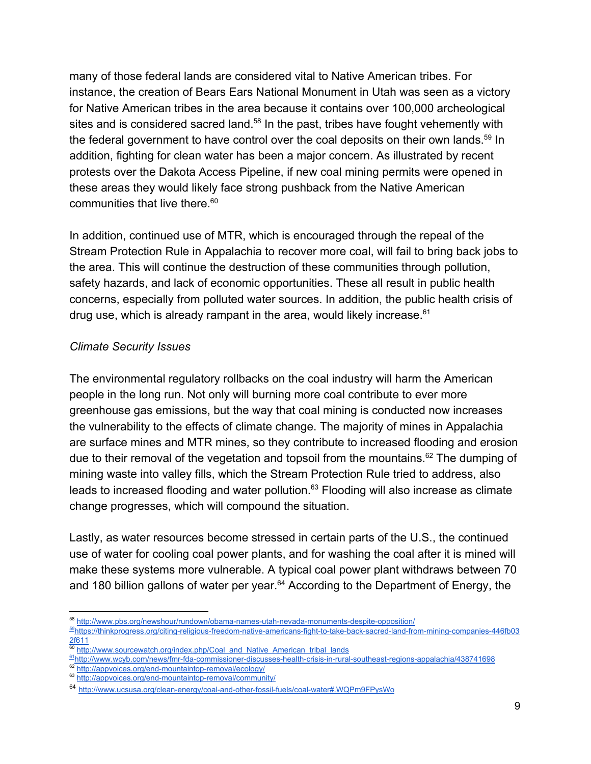many of those federal lands are considered vital to Native American tribes. For instance, the creation of Bears Ears National Monument in Utah was seen as a victory for Native American tribes in the area because it contains over 100,000 archeological sites and is considered sacred land.<sup>58</sup> In the past, tribes have fought vehemently with the federal government to have control over the coal deposits on their own lands.<sup>59</sup> In addition, fighting for clean water has been a major concern. As illustrated by recent protests over the Dakota Access Pipeline, if new coal mining permits were opened in these areas they would likely face strong pushback from the Native American communities that live there. $60$ 

In addition, continued use of MTR, which is encouraged through the repeal of the Stream Protection Rule in Appalachia to recover more coal, will fail to bring back jobs to the area. This will continue the destruction of these communities through pollution, safety hazards, and lack of economic opportunities. These all result in public health concerns, especially from polluted water sources. In addition, the public health crisis of drug use, which is already rampant in the area, would likely increase. $61$ 

#### *Climate Security Issues*

The environmental regulatory rollbacks on the coal industry will harm the American people in the long run. Not only will burning more coal contribute to ever more greenhouse gas emissions, but the way that coal mining is conducted now increases the vulnerability to the effects of climate change. The majority of mines in Appalachia are surface mines and MTR mines, so they contribute to increased flooding and erosion due to their removal of the vegetation and topsoil from the mountains.<sup>62</sup> The dumping of mining waste into valley fills, which the Stream Protection Rule tried to address, also leads to increased flooding and water pollution. $^{63}$  Flooding will also increase as climate change progresses, which will compound the situation.

Lastly, as water resources become stressed in certain parts of the U.S., the continued use of water for cooling coal power plants, and for washing the coal after it is mined will make these systems more vulnerable. A typical coal power plant withdraws between 70 and 180 billion gallons of water per year. $64$  According to the Department of Energy, the

<sup>58</sup> <http://www.pbs.org/newshour/rundown/obama-names-utah-nevada-monuments-despite-opposition/> 59[https://thinkprogress.org/citing-religious-freedom-native-americans-fight-to-take-back-sacred-land-from-mining-companies-446fb03](https://thinkprogress.org/citing-religious-freedom-native-americans-fight-to-take-back-sacred-land-from-mining-companies-446fb032f611) [2f611](https://thinkprogress.org/citing-religious-freedom-native-americans-fight-to-take-back-sacred-land-from-mining-companies-446fb032f611)

[http://www.sourcewatch.org/index.php/Coal\\_and\\_Native\\_American\\_tribal\\_lands](http://www.sourcewatch.org/index.php/Coal_and_Native_American_tribal_lands)

<sup>61</sup><http://www.wcyb.com/news/fmr-fda-commissioner-discusses-health-crisis-in-rural-southeast-regions-appalachia/438741698>

<http://appvoices.org/end-mountaintop-removal/ecology/>

<sup>63</sup> <http://appvoices.org/end-mountaintop-removal/community/>

<sup>64</sup> <http://www.ucsusa.org/clean-energy/coal-and-other-fossil-fuels/coal-water#.WQPm9FPysWo>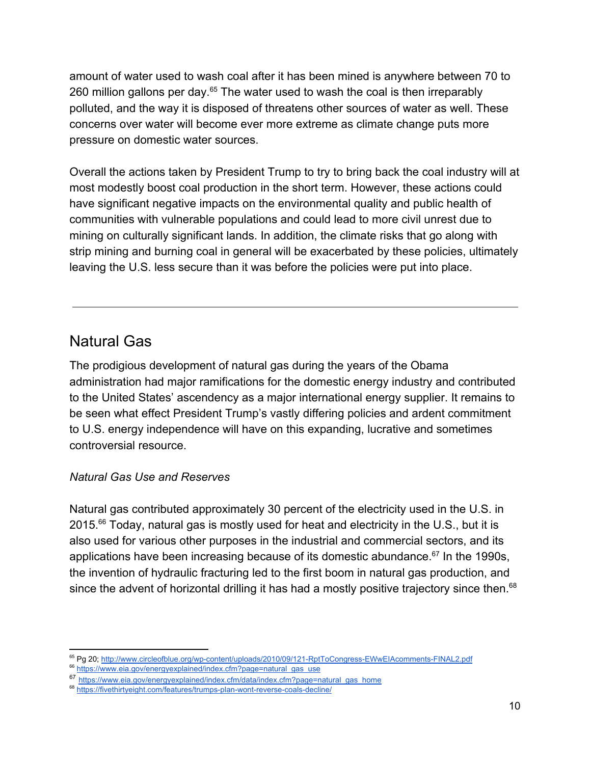amount of water used to wash coal after it has been mined is anywhere between 70 to 260 million gallons per day. $65$  The water used to wash the coal is then irreparably polluted, and the way it is disposed of threatens other sources of water as well. These concerns over water will become ever more extreme as climate change puts more pressure on domestic water sources.

Overall the actions taken by President Trump to try to bring back the coal industry will at most modestly boost coal production in the short term. However, these actions could have significant negative impacts on the environmental quality and public health of communities with vulnerable populations and could lead to more civil unrest due to mining on culturally significant lands. In addition, the climate risks that go along with strip mining and burning coal in general will be exacerbated by these policies, ultimately leaving the U.S. less secure than it was before the policies were put into place.

### Natural Gas

The prodigious development of natural gas during the years of the Obama administration had major ramifications for the domestic energy industry and contributed to the United States' ascendency as a major international energy supplier. It remains to be seen what effect President Trump's vastly differing policies and ardent commitment to U.S. energy independence will have on this expanding, lucrative and sometimes controversial resource.

#### *Natural Gas Use and Reserves*

Natural gas contributed approximately 30 percent of the electricity used in the U.S. in  $2015<sup>66</sup>$  Today, natural gas is mostly used for heat and electricity in the U.S., but it is also used for various other purposes in the industrial and commercial sectors, and its applications have been increasing because of its domestic abundance. $67$  In the 1990s, the invention of hydraulic fracturing led to the first boom in natural gas production, and since the advent of horizontal drilling it has had a mostly positive trajectory since then.<sup>68</sup>

<sup>&</sup>lt;sup>65</sup> Pg 20; <http://www.circleofblue.org/wp-content/uploads/2010/09/121-RptToCongress-EWwEIAcomments-FINAL2.pdf>

<sup>&</sup>lt;sup>66</sup> [https://www.eia.gov/energyexplained/index.cfm?page=natural\\_gas\\_use](https://www.eia.gov/energyexplained/index.cfm?page=natural_gas_use)

<sup>67</sup> [https://www.eia.gov/energyexplained/index.cfm/data/index.cfm?page=natural\\_gas\\_home](https://www.eia.gov/energyexplained/index.cfm/data/index.cfm?page=natural_gas_home)

<sup>68</sup> <https://fivethirtyeight.com/features/trumps-plan-wont-reverse-coals-decline/>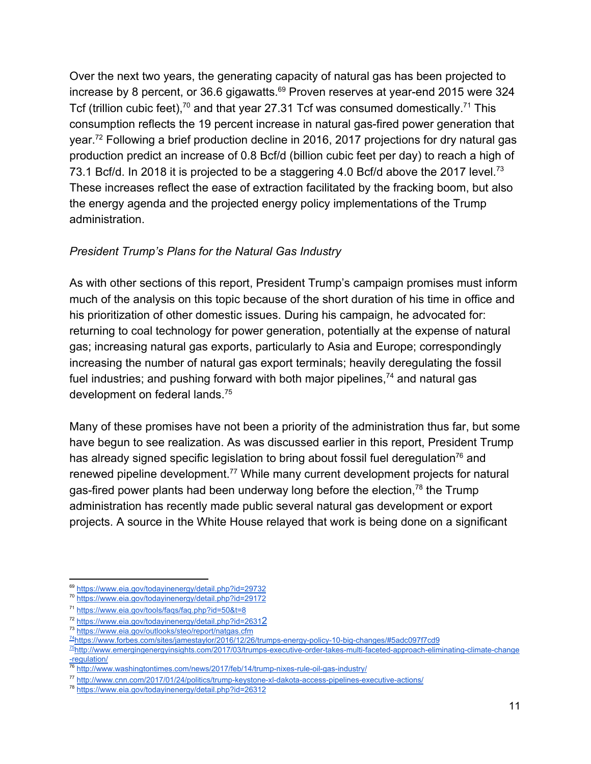Over the next two years, the generating capacity of natural gas has been projected to increase by 8 percent, or 36.6 gigawatts.<sup>69</sup> Proven reserves at year-end 2015 were 324 Tcf (trillion cubic feet),<sup>70</sup> and that year 27.31 Tcf was consumed domestically.<sup>71</sup> This consumption reflects the 19 percent increase in natural gas-fired power generation that year.<sup> $72$ </sup> Following a brief production decline in 2016, 2017 projections for dry natural gas production predict an increase of 0.8 Bcf/d (billion cubic feet per day) to reach a high of 73.1 Bcf/d. In 2018 it is projected to be a staggering 4.0 Bcf/d above the 2017 level.<sup>73</sup> These increases reflect the ease of extraction facilitated by the fracking boom, but also the energy agenda and the projected energy policy implementations of the Trump administration.

#### *President Trump's Plans for the Natural Gas Industry*

As with other sections of this report, President Trump's campaign promises must inform much of the analysis on this topic because of the short duration of his time in office and his prioritization of other domestic issues. During his campaign, he advocated for: returning to coal technology for power generation, potentially at the expense of natural gas; increasing natural gas exports, particularly to Asia and Europe; correspondingly increasing the number of natural gas export terminals; heavily deregulating the fossil fuel industries; and pushing forward with both major pipelines,  $74$  and natural gas development on federal lands.<sup>75</sup>

Many of these promises have not been a priority of the administration thus far, but some have begun to see realization. As was discussed earlier in this report, President Trump has already signed specific legislation to bring about fossil fuel deregulation<sup>76</sup> and renewed pipeline development.<sup>77</sup> While many current development projects for natural gas-fired power plants had been underway long before the election,  $78$  the Trump administration has recently made public several natural gas development or export projects. A source in the White House relayed that work is being done on a significant

<sup>69</sup> <https://www.eia.gov/todayinenergy/detail.php?id=29732>

<sup>70</sup> <https://www.eia.gov/todayinenergy/detail.php?id=29172>

<sup>&</sup>lt;sup>71</sup> <https://www.eia.gov/tools/faqs/faq.php?id=50&t=8>

<sup>72</sup> [https://www.eia.gov/todayinenergy/detail.php?id=2631](https://www.eia.gov/todayinenergy/detail.php?id=26312)[2](https://www.eia.gov/todayinenergy/detail.php?id=26312)

<sup>73</sup> <https://www.eia.gov/outlooks/steo/report/natgas.cfm>

<sup>74</sup><https://www.forbes.com/sites/jamestaylor/2016/12/26/trumps-energy-policy-10-big-changes/#5adc097f7cd9>

<sup>&</sup>lt;sup>75</sup>[http://www.emergingenergyinsights.com/2017/03/trumps-executive-order-takes-multi-faceted-approach-eliminating-climate-change](http://www.emergingenergyinsights.com/2017/03/trumps-executive-order-takes-multi-faceted-approach-eliminating-climate-change-regulation/) [-regulation/](http://www.emergingenergyinsights.com/2017/03/trumps-executive-order-takes-multi-faceted-approach-eliminating-climate-change-regulation/)

<http://www.washingtontimes.com/news/2017/feb/14/trump-nixes-rule-oil-gas-industry/>

<sup>77</sup> <http://www.cnn.com/2017/01/24/politics/trump-keystone-xl-dakota-access-pipelines-executive-actions/>

<sup>78</sup> <https://www.eia.gov/todayinenergy/detail.php?id=26312>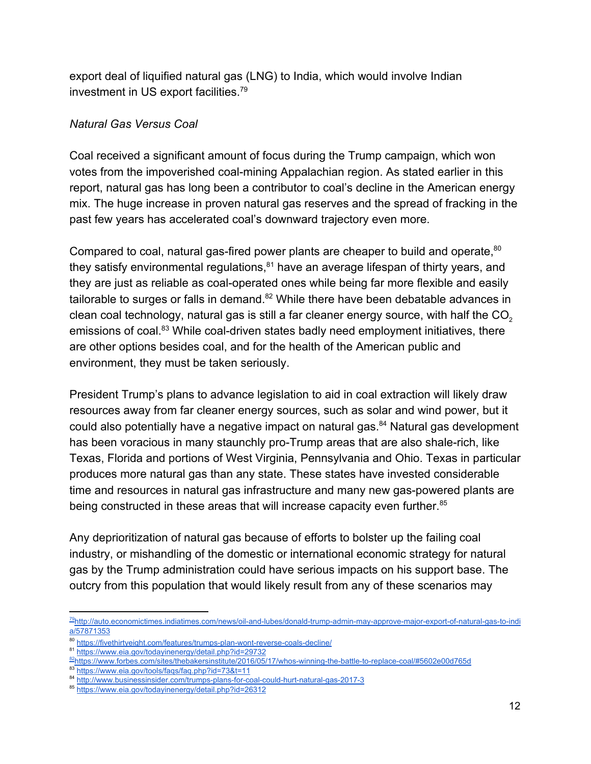export deal of liquified natural gas (LNG) to India, which would involve Indian investment in US export facilities.<sup>79</sup>

#### *Natural Gas Versus Coal*

Coal received a significant amount of focus during the Trump campaign, which won votes from the impoverished coal-mining Appalachian region. As stated earlier in this report, natural gas has long been a contributor to coal's decline in the American energy mix. The huge increase in proven natural gas reserves and the spread of fracking in the past few years has accelerated coal's downward trajectory even more.

Compared to coal, natural gas-fired power plants are cheaper to build and operate, <sup>80</sup> they satisfy environmental regulations, $81$  have an average lifespan of thirty years, and they are just as reliable as coal-operated ones while being far more flexible and easily tailorable to surges or falls in demand. $^{82}$  While there have been debatable advances in clean coal technology, natural gas is still a far cleaner energy source, with half the  $CO<sub>2</sub>$ emissions of coal.<sup>83</sup> While coal-driven states badly need employment initiatives, there are other options besides coal, and for the health of the American public and environment, they must be taken seriously.

President Trump's plans to advance legislation to aid in coal extraction will likely draw resources away from far cleaner energy sources, such as solar and wind power, but it could also potentially have a negative impact on natural gas.<sup>84</sup> Natural gas development has been voracious in many staunchly pro-Trump areas that are also shale-rich, like Texas, Florida and portions of West Virginia, Pennsylvania and Ohio. Texas in particular produces more natural gas than any state. These states have invested considerable time and resources in natural gas infrastructure and many new gas-powered plants are being constructed in these areas that will increase capacity even further.<sup>85</sup>

Any deprioritization of natural gas because of efforts to bolster up the failing coal industry, or mishandling of the domestic or international economic strategy for natural gas by the Trump administration could have serious impacts on his support base. The outcry from this population that would likely result from any of these scenarios may

<sup>&</sup>lt;sup>79</sup>[http://auto.economictimes.indiatimes.com/news/oil-and-lubes/donald-trump-admin-may-approve-major-export-of-natural-gas-to-indi](http://auto.economictimes.indiatimes.com/news/oil-and-lubes/donald-trump-admin-may-approve-major-export-of-natural-gas-to-india/57871353) [a/57871353](http://auto.economictimes.indiatimes.com/news/oil-and-lubes/donald-trump-admin-may-approve-major-export-of-natural-gas-to-india/57871353)

<sup>80</sup> <https://fivethirtyeight.com/features/trumps-plan-wont-reverse-coals-decline/>

<sup>81</sup> <https://www.eia.gov/todayinenergy/detail.php?id=29732>

<sup>82</sup><https://www.forbes.com/sites/thebakersinstitute/2016/05/17/whos-winning-the-battle-to-replace-coal/#5602e00d765d>

<https://www.eia.gov/tools/faqs/faq.php?id=73&t=11>

<sup>84</sup> <http://www.businessinsider.com/trumps-plans-for-coal-could-hurt-natural-gas-2017-3>

<sup>85</sup> <https://www.eia.gov/todayinenergy/detail.php?id=26312>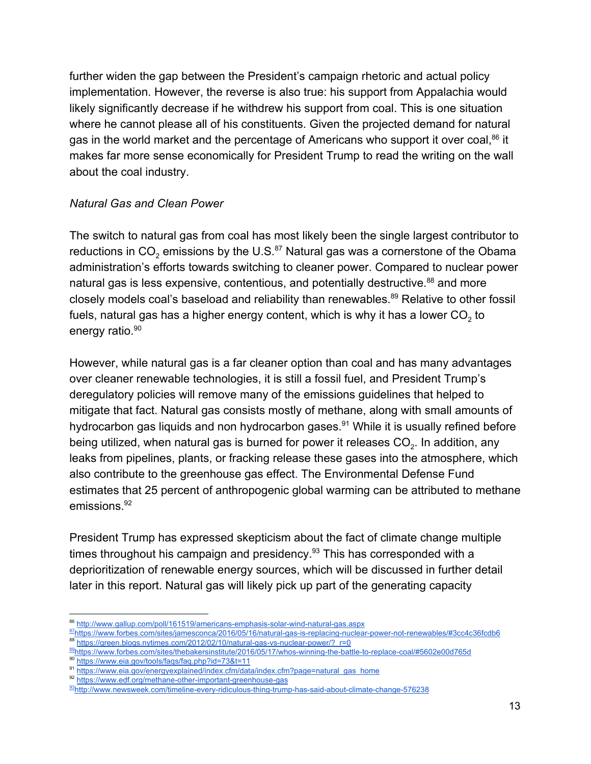further widen the gap between the President's campaign rhetoric and actual policy implementation. However, the reverse is also true: his support from Appalachia would likely significantly decrease if he withdrew his support from coal. This is one situation where he cannot please all of his constituents. Given the projected demand for natural gas in the world market and the percentage of Americans who support it over coal,  $86$  it makes far more sense economically for President Trump to read the writing on the wall about the coal industry.

#### *Natural Gas and Clean Power*

The switch to natural gas from coal has most likely been the single largest contributor to reductions in CO $_2$  emissions by the U.S. $^{\rm 87}$  Natural gas was a cornerstone of the Obama administration's efforts towards switching to cleaner power. Compared to nuclear power natural gas is less expensive, contentious, and potentially destructive.<sup>88</sup> and more closely models coal's baseload and reliability than renewables.<sup>89</sup> Relative to other fossil fuels, natural gas has a higher energy content, which is why it has a lower CO<sub>2</sub> to energy ratio.<sup>90</sup>

However, while natural gas is a far cleaner option than coal and has many advantages over cleaner renewable technologies, it is still a fossil fuel, and President Trump's deregulatory policies will remove many of the emissions guidelines that helped to mitigate that fact. Natural gas consists mostly of methane, along with small amounts of hydrocarbon gas liquids and non hydrocarbon gases.<sup>91</sup> While it is usually refined before being utilized, when natural gas is burned for power it releases CO<sub>2</sub>. In addition, any leaks from pipelines, plants, or fracking release these gases into the atmosphere, which also contribute to the greenhouse gas effect. The Environmental Defense Fund estimates that 25 percent of anthropogenic global warming can be attributed to methane emissions.<sup>92</sup>

President Trump has expressed skepticism about the fact of climate change multiple times throughout his campaign and presidency.<sup>93</sup> This has corresponded with a deprioritization of renewable energy sources, which will be discussed in further detail later in this report. Natural gas will likely pick up part of the generating capacity

<sup>86</sup> <http://www.gallup.com/poll/161519/americans-emphasis-solar-wind-natural-gas.aspx>

<sup>87</sup><https://www.forbes.com/sites/jamesconca/2016/05/16/natural-gas-is-replacing-nuclear-power-not-renewables/#3cc4c36fcdb6> [https://green.blogs.nytimes.com/2012/02/10/natural-gas-vs-nuclear-power/?\\_r=0](https://green.blogs.nytimes.com/2012/02/10/natural-gas-vs-nuclear-power/?_r=0)

<sup>89</sup><https://www.forbes.com/sites/thebakersinstitute/2016/05/17/whos-winning-the-battle-to-replace-coal/#5602e00d765d>

<sup>90</sup> <https://www.eia.gov/tools/faqs/faq.php?id=73&t=11>

<sup>91</sup> [https://www.eia.gov/energyexplained/index.cfm/data/index.cfm?page=natural\\_gas\\_home](https://www.eia.gov/energyexplained/index.cfm/data/index.cfm?page=natural_gas_home)

<sup>92</sup> <https://www.edf.org/methane-other-important-greenhouse-gas>

<sup>93</sup><http://www.newsweek.com/timeline-every-ridiculous-thing-trump-has-said-about-climate-change-576238>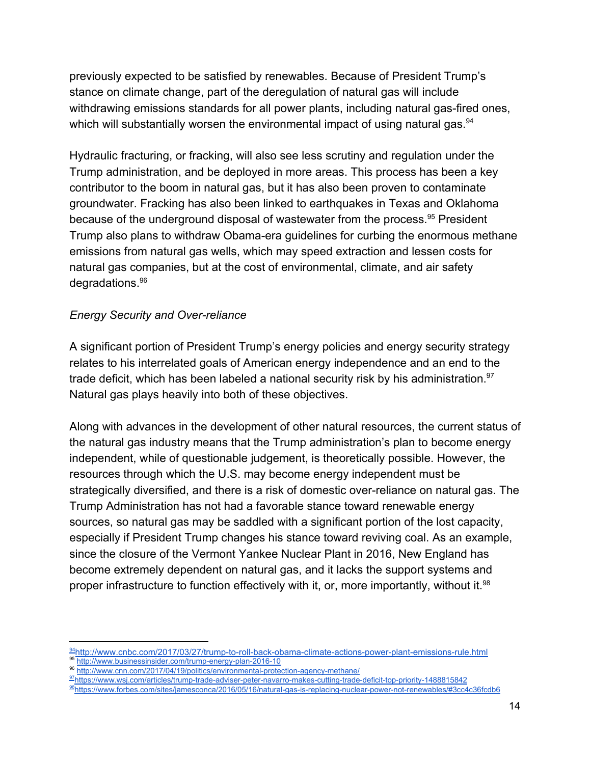previously expected to be satisfied by renewables. Because of President Trump's stance on climate change, part of the deregulation of natural gas will include withdrawing emissions standards for all power plants, including natural gas-fired ones, which will substantially worsen the environmental impact of using natural gas.<sup>94</sup>

Hydraulic fracturing, or fracking, will also see less scrutiny and regulation under the Trump administration, and be deployed in more areas. This process has been a key contributor to the boom in natural gas, but it has also been proven to contaminate groundwater. Fracking has also been linked to earthquakes in Texas and Oklahoma because of the underground disposal of wastewater from the process.<sup>95</sup> President Trump also plans to withdraw Obama-era guidelines for curbing the enormous methane emissions from natural gas wells, which may speed extraction and lessen costs for natural gas companies, but at the cost of environmental, climate, and air safety degradations.<sup>96</sup>

#### *Energy Security and Over-reliance*

A significant portion of President Trump's energy policies and energy security strategy relates to his interrelated goals of American energy independence and an end to the trade deficit, which has been labeled a national security risk by his administration.<sup>97</sup> Natural gas plays heavily into both of these objectives.

Along with advances in the development of other natural resources, the current status of the natural gas industry means that the Trump administration's plan to become energy independent, while of questionable judgement, is theoretically possible. However, the resources through which the U.S. may become energy independent must be strategically diversified, and there is a risk of domestic over-reliance on natural gas. The Trump Administration has not had a favorable stance toward renewable energy sources, so natural gas may be saddled with a significant portion of the lost capacity, especially if President Trump changes his stance toward reviving coal. As an example, since the closure of the Vermont Yankee Nuclear Plant in 2016, New England has become extremely dependent on natural gas, and it lacks the support systems and proper infrastructure to function effectively with it, or, more importantly, without it.<sup>98</sup>

- 96 <http://www.cnn.com/2017/04/19/politics/environmental-protection-agency-methane/>
- 97<https://www.wsj.com/articles/trump-trade-adviser-peter-navarro-makes-cutting-trade-deficit-top-priority-1488815842>

<sup>94</sup><http://www.cnbc.com/2017/03/27/trump-to-roll-back-obama-climate-actions-power-plant-emissions-rule.html> <http://www.businessinsider.com/trump-energy-plan-2016-10>

<sup>98</sup><https://www.forbes.com/sites/jamesconca/2016/05/16/natural-gas-is-replacing-nuclear-power-not-renewables/#3cc4c36fcdb6>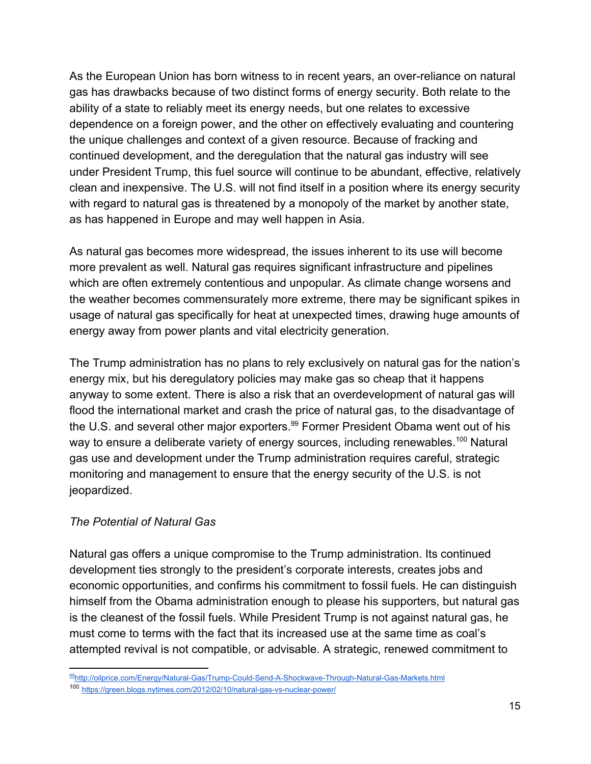As the European Union has born witness to in recent years, an over-reliance on natural gas has drawbacks because of two distinct forms of energy security. Both relate to the ability of a state to reliably meet its energy needs, but one relates to excessive dependence on a foreign power, and the other on effectively evaluating and countering the unique challenges and context of a given resource. Because of fracking and continued development, and the deregulation that the natural gas industry will see under President Trump, this fuel source will continue to be abundant, effective, relatively clean and inexpensive. The U.S. will not find itself in a position where its energy security with regard to natural gas is threatened by a monopoly of the market by another state, as has happened in Europe and may well happen in Asia.

As natural gas becomes more widespread, the issues inherent to its use will become more prevalent as well. Natural gas requires significant infrastructure and pipelines which are often extremely contentious and unpopular. As climate change worsens and the weather becomes commensurately more extreme, there may be significant spikes in usage of natural gas specifically for heat at unexpected times, drawing huge amounts of energy away from power plants and vital electricity generation.

The Trump administration has no plans to rely exclusively on natural gas for the nation's energy mix, but his deregulatory policies may make gas so cheap that it happens anyway to some extent. There is also a risk that an overdevelopment of natural gas will flood the international market and crash the price of natural gas, to the disadvantage of the U.S. and several other major exporters.<sup>99</sup> Former President Obama went out of his way to ensure a deliberate variety of energy sources, including renewables.<sup>100</sup> Natural gas use and development under the Trump administration requires careful, strategic monitoring and management to ensure that the energy security of the U.S. is not jeopardized.

#### *The Potential of Natural Gas*

Natural gas offers a unique compromise to the Trump administration. Its continued development ties strongly to the president's corporate interests, creates jobs and economic opportunities, and confirms his commitment to fossil fuels. He can distinguish himself from the Obama administration enough to please his supporters, but natural gas is the cleanest of the fossil fuels. While President Trump is not against natural gas, he must come to terms with the fact that its increased use at the same time as coal's attempted revival is not compatible, or advisable. A strategic, renewed commitment to

<sup>99</sup><http://oilprice.com/Energy/Natural-Gas/Trump-Could-Send-A-Shockwave-Through-Natural-Gas-Markets.html>

<sup>100</sup> <https://green.blogs.nytimes.com/2012/02/10/natural-gas-vs-nuclear-power/>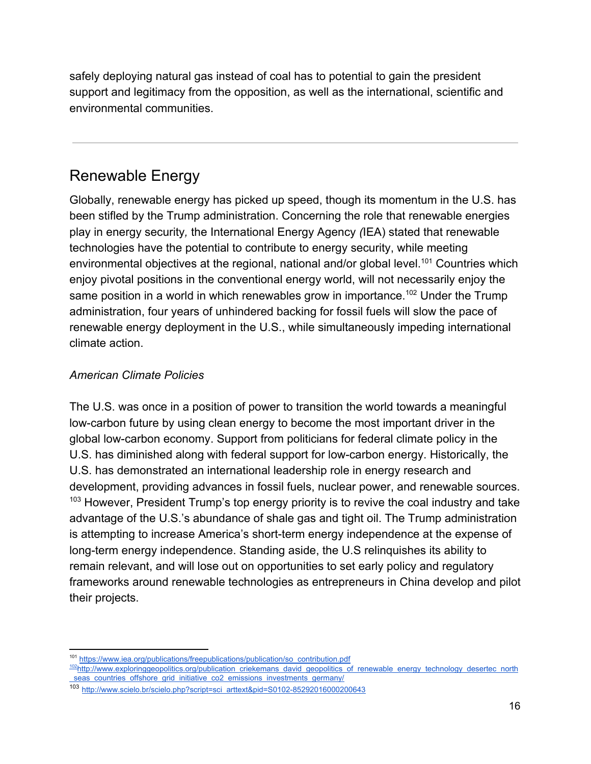safely deploying natural gas instead of coal has to potential to gain the president support and legitimacy from the opposition, as well as the international, scientific and environmental communities.

# Renewable Energy

Globally, renewable energy has picked up speed, though its momentum in the U.S. has been stifled by the Trump administration. Concerning the role that renewable energies play in energy security*,* the International Energy Agency *(*IEA) stated that renewable technologies have the potential to contribute to energy security, while meeting environmental objectives at the regional, national and/or global level.<sup>101</sup> Countries which enjoy pivotal positions in the conventional energy world, will not necessarily enjoy the same position in a world in which renewables grow in importance.<sup>102</sup> Under the Trump administration, four years of unhindered backing for fossil fuels will slow the pace of renewable energy deployment in the U.S., while simultaneously impeding international climate action.

#### *American Climate Policies*

The U.S. was once in a position of power to transition the world towards a meaningful low-carbon future by using clean energy to become the most important driver in the global low-carbon economy. Support from politicians for federal climate policy in the U.S. has diminished along with federal support for low-carbon energy. Historically, the U.S. has demonstrated an international leadership role in energy research and development, providing advances in fossil fuels, nuclear power, and renewable sources.  $103$  However, President Trump's top energy priority is to revive the coal industry and take advantage of the U.S.'s abundance of shale gas and tight oil. The Trump administration is attempting to increase America's short-term energy independence at the expense of long-term energy independence. Standing aside, the U.S relinquishes its ability to remain relevant, and will lose out on opportunities to set early policy and regulatory frameworks around renewable technologies as entrepreneurs in China develop and pilot their projects.

<sup>&</sup>lt;sup>101</sup> [https://www.iea.org/publications/freepublications/publication/so\\_contribution.pdf](https://www.iea.org/publications/freepublications/publication/so_contribution.pdf)

<sup>102</sup> [http://www.exploringgeopolitics.org/publication\\_criekemans\\_david\\_geopolitics\\_of\\_renewable\\_energy\\_technology\\_desertec\\_north](http://www.exploringgeopolitics.org/publication_criekemans_david_geopolitics_of_renewable_energy_technology_desertec_north_seas_countries_offshore_grid_initiative_co2_emissions_investments_germany/) seas countries offshore grid initiative co2 emissions investments germany/

<sup>103</sup> [http://www.scielo.br/scielo.php?script=sci\\_arttext&pid=S0102-85292016000200643](http://www.scielo.br/scielo.php?script=sci_arttext&pid=S0102-85292016000200643)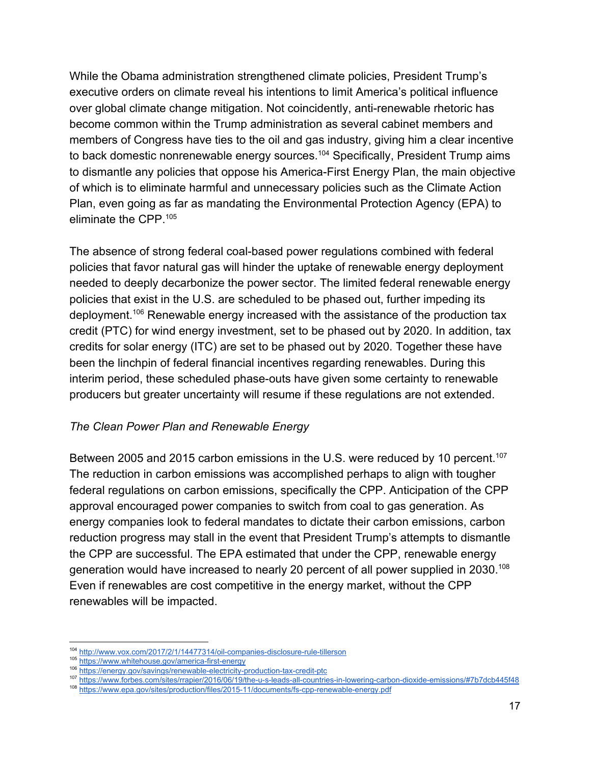While the Obama administration strengthened climate policies, President Trump's executive orders on climate reveal his intentions to limit America's political influence over global climate change mitigation. Not coincidently, anti-renewable rhetoric has become common within the Trump administration as several cabinet members and members of Congress have ties to the oil and gas industry, giving him a clear incentive to back domestic nonrenewable energy sources.<sup>104</sup> Specifically, President Trump aims to dismantle any policies that oppose his America-First Energy Plan, the main objective of which is to eliminate harmful and unnecessary policies such as the Climate Action Plan, even going as far as mandating the Environmental Protection Agency (EPA) to eliminate the CPP.<sup>105</sup>

The absence of strong federal coal-based power regulations combined with federal policies that favor natural gas will hinder the uptake of renewable energy deployment needed to deeply decarbonize the power sector. The limited federal renewable energy policies that exist in the U.S. are scheduled to be phased out, further impeding its deployment.<sup>106</sup> Renewable energy increased with the assistance of the production tax credit (PTC) for wind energy investment, set to be phased out by 2020. In addition, tax credits for solar energy (ITC) are set to be phased out by 2020. Together these have been the linchpin of federal financial incentives regarding renewables. During this interim period, these scheduled phase-outs have given some certainty to renewable producers but greater uncertainty will resume if these regulations are not extended.

#### *The Clean Power Plan and Renewable Energy*

Between 2005 and 2015 carbon emissions in the U.S. were reduced by 10 percent.<sup>107</sup> The reduction in carbon emissions was accomplished perhaps to align with tougher federal regulations on carbon emissions, specifically the CPP. Anticipation of the CPP approval encouraged power companies to switch from coal to gas generation. As energy companies look to federal mandates to dictate their carbon emissions, carbon reduction progress may stall in the event that President Trump's attempts to dismantle the CPP are successful. The EPA estimated that under the CPP, renewable energy generation would have increased to nearly 20 percent of all power supplied in 2030.<sup>108</sup> Even if renewables are cost competitive in the energy market, without the CPP renewables will be impacted.

<sup>104</sup> <http://www.vox.com/2017/2/1/14477314/oil-companies-disclosure-rule-tillerson>

<sup>105</sup> <https://www.whitehouse.gov/america-first-energy>

<sup>106</sup> <https://energy.gov/savings/renewable-electricity-production-tax-credit-ptc>

<sup>107</sup> <https://www.forbes.com/sites/rrapier/2016/06/19/the-u-s-leads-all-countries-in-lowering-carbon-dioxide-emissions/#7b7dcb445f48>

<sup>108</sup> <https://www.epa.gov/sites/production/files/2015-11/documents/fs-cpp-renewable-energy.pdf>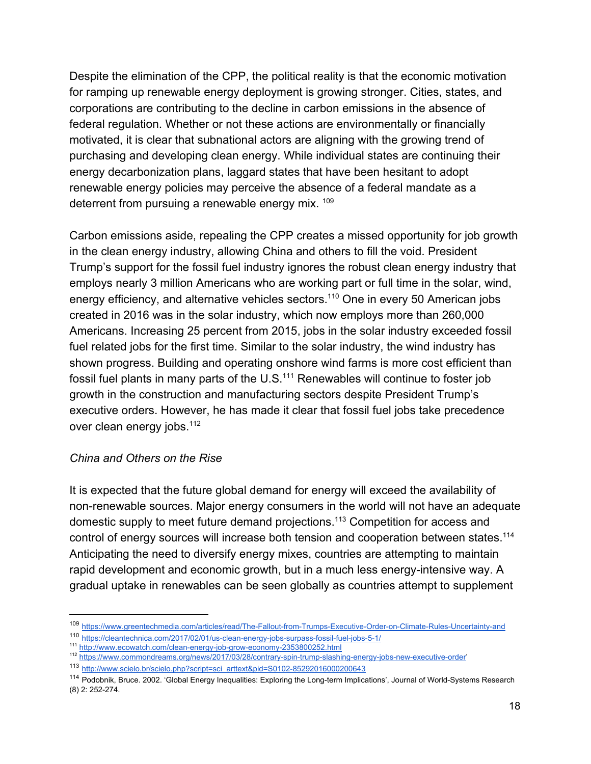Despite the elimination of the CPP, the political reality is that the economic motivation for ramping up renewable energy deployment is growing stronger. Cities, states, and corporations are contributing to the decline in carbon emissions in the absence of federal regulation. Whether or not these actions are environmentally or financially motivated, it is clear that subnational actors are aligning with the growing trend of purchasing and developing clean energy. While individual states are continuing their energy decarbonization plans, laggard states that have been hesitant to adopt renewable energy policies may perceive the absence of a federal mandate as a deterrent from pursuing a renewable energy mix. 109

Carbon emissions aside, repealing the CPP creates a missed opportunity for job growth in the clean energy industry, allowing China and others to fill the void. President Trump's support for the fossil fuel industry ignores the robust clean energy industry that employs nearly 3 million Americans who are working part or full time in the solar, wind, energy efficiency, and alternative vehicles sectors.<sup>110</sup> One in every 50 American jobs created in 2016 was in the solar industry, which now employs more than 260,000 Americans. Increasing 25 percent from 2015, jobs in the solar industry exceeded fossil fuel related jobs for the first time. Similar to the solar industry, the wind industry has shown progress. Building and operating onshore wind farms is more cost efficient than fossil fuel plants in many parts of the  $U.S.<sup>111</sup>$  Renewables will continue to foster job growth in the construction and manufacturing sectors despite President Trump's executive orders. However, he has made it clear that fossil fuel jobs take precedence over clean energy jobs.<sup>112</sup>

#### *China and Others on the Rise*

It is expected that the future global demand for energy will exceed the availability of non-renewable sources. Major energy consumers in the world will not have an adequate domestic supply to meet future demand projections.<sup>113</sup> Competition for access and control of energy sources will increase both tension and cooperation between states.<sup>114</sup> Anticipating the need to diversify energy mixes, countries are attempting to maintain rapid development and economic growth, but in a much less energy-intensive way. A gradual uptake in renewables can be seen globally as countries attempt to supplement

<sup>109</sup> <https://www.greentechmedia.com/articles/read/The-Fallout-from-Trumps-Executive-Order-on-Climate-Rules-Uncertainty-and>

<sup>110</sup> <https://cleantechnica.com/2017/02/01/us-clean-energy-jobs-surpass-fossil-fuel-jobs-5-1/>

<sup>111</sup> <http://www.ecowatch.com/clean-energy-job-grow-economy-2353800252.html>

<sup>112</sup> [https://www.commondreams.org/news/2017/03/28/contrary-spin-trump-slashing-energy-jobs-new-executive-order'](https://www.commondreams.org/news/2017/03/28/contrary-spin-trump-slashing-energy-jobs-new-executive-order)

<sup>113</sup> [http://www.scielo.br/scielo.php?script=sci\\_arttext&pid=S0102-85292016000200643](http://www.scielo.br/scielo.php?script=sci_arttext&pid=S0102-85292016000200643)

<sup>114</sup> Podobnik, Bruce. 2002. 'Global Energy Inequalities: Exploring the Long-term Implications', Journal of World-Systems Research (8) 2: 252-274.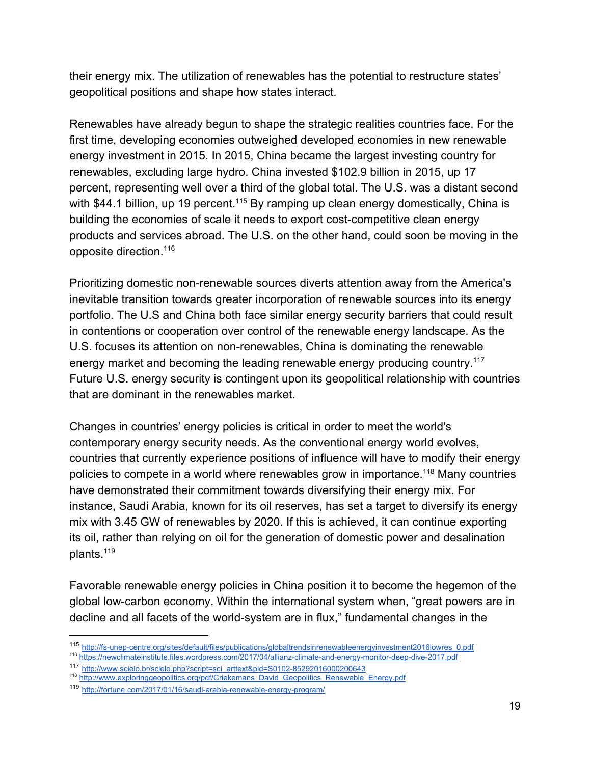their energy mix. The utilization of renewables has the potential to restructure states' geopolitical positions and shape how states interact.

Renewables have already begun to shape the strategic realities countries face. For the first time, developing economies outweighed developed economies in new renewable energy investment in 2015. In 2015, China became the largest investing country for renewables, excluding large hydro. China invested \$102.9 billion in 2015, up 17 percent, representing well over a third of the global total. The U.S. was a distant second with \$44.1 billion, up 19 percent.<sup>115</sup> By ramping up clean energy domestically, China is building the economies of scale it needs to export cost-competitive clean energy products and services abroad. The U.S. on the other hand, could soon be moving in the opposite direction.<sup>116</sup>

Prioritizing domestic non-renewable sources diverts attention away from the America's inevitable transition towards greater incorporation of renewable sources into its energy portfolio. The U.S and China both face similar energy security barriers that could result in contentions or cooperation over control of the renewable energy landscape. As the U.S. focuses its attention on non-renewables, China is dominating the renewable energy market and becoming the leading renewable energy producing country.<sup>117</sup> Future U.S. energy security is contingent upon its geopolitical relationship with countries that are dominant in the renewables market.

Changes in countries' energy policies is critical in order to meet the world's contemporary energy security needs. As the conventional energy world evolves, countries that currently experience positions of influence will have to modify their energy policies to compete in a world where renewables grow in importance.<sup>118</sup> Many countries have demonstrated their commitment towards diversifying their energy mix. For instance, Saudi Arabia, known for its oil reserves, has set a target to diversify its energy mix with 3.45 GW of renewables by 2020. If this is achieved, it can continue exporting its oil, rather than relying on oil for the generation of domestic power and desalination plants.<sup>119</sup>

Favorable renewable energy policies in China position it to become the hegemon of the global low-carbon economy. Within the international system when, "great powers are in decline and all facets of the world-system are in flux," fundamental changes in the

<sup>115</sup> [http://fs-unep-centre.org/sites/default/files/publications/globaltrendsinrenewableenergyinvestment2016lowres\\_0.pdf](http://fs-unep-centre.org/sites/default/files/publications/globaltrendsinrenewableenergyinvestment2016lowres_0.pdf)

<sup>116</sup> <https://newclimateinstitute.files.wordpress.com/2017/04/allianz-climate-and-energy-monitor-deep-dive-2017.pdf>

<sup>117</sup> [http://www.scielo.br/scielo.php?script=sci\\_arttext&pid=S0102-85292016000200643](http://www.scielo.br/scielo.php?script=sci_arttext&pid=S0102-85292016000200643)

<sup>&</sup>lt;sup>118</sup> [http://www.exploringgeopolitics.org/pdf/Criekemans\\_David\\_Geopolitics\\_Renewable\\_Energy.pdf](http://www.exploringgeopolitics.org/pdf/Criekemans_David_Geopolitics_Renewable_Energy.pdf)

<sup>119</sup> <http://fortune.com/2017/01/16/saudi-arabia-renewable-energy-program/>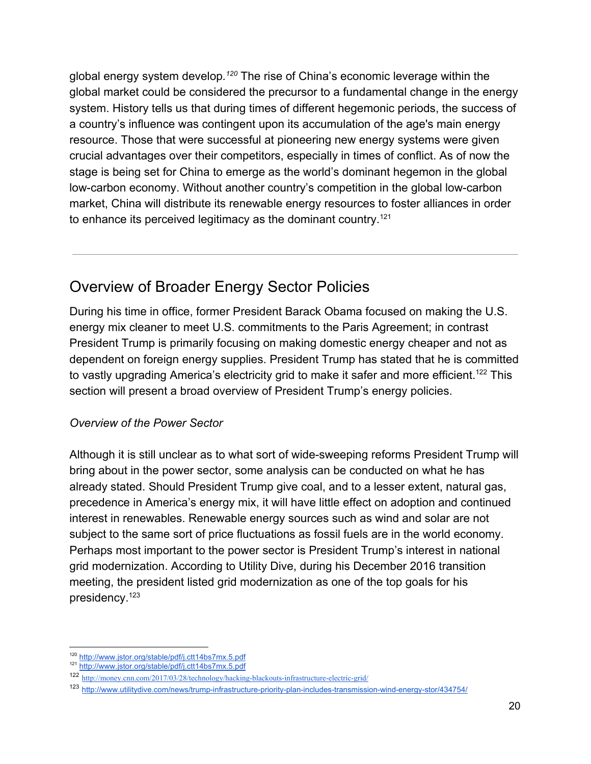global energy system develop.<sup>120</sup> The rise of China's economic leverage within the global market could be considered the precursor to a fundamental change in the energy system. History tells us that during times of different hegemonic periods, the success of a country's influence was contingent upon its accumulation of the age's main energy resource. Those that were successful at pioneering new energy systems were given crucial advantages over their competitors, especially in times of conflict. As of now the stage is being set for China to emerge as the world's dominant hegemon in the global low-carbon economy. Without another country's competition in the global low-carbon market, China will distribute its renewable energy resources to foster alliances in order to enhance its perceived legitimacy as the dominant country.<sup>121</sup>

# Overview of Broader Energy Sector Policies

During his time in office, former President Barack Obama focused on making the U.S. energy mix cleaner to meet U.S. commitments to the Paris Agreement; in contrast President Trump is primarily focusing on making domestic energy cheaper and not as dependent on foreign energy supplies. President Trump has stated that he is committed to vastly upgrading America's electricity grid to make it safer and more efficient.<sup>122</sup> This section will present a broad overview of President Trump's energy policies.

#### *Overview of the Power Sector*

Although it is still unclear as to what sort of wide-sweeping reforms President Trump will bring about in the power sector, some analysis can be conducted on what he has already stated. Should President Trump give coal, and to a lesser extent, natural gas, precedence in America's energy mix, it will have little effect on adoption and continued interest in renewables. Renewable energy sources such as wind and solar are not subject to the same sort of price fluctuations as fossil fuels are in the world economy. Perhaps most important to the power sector is President Trump's interest in national grid modernization. According to Utility Dive, during his December 2016 transition meeting, the president listed grid modernization as one of the top goals for his presidency.<sup>123</sup>

<sup>120</sup> <http://www.jstor.org/stable/pdf/j.ctt14bs7mx.5.pdf>

<sup>121</sup> <http://www.jstor.org/stable/pdf/j.ctt14bs7mx.5.pdf>

<sup>122</sup> <http://money.cnn.com/2017/03/28/technology/hacking-blackouts-infrastructure-electric-grid/>

<sup>123</sup> <http://www.utilitydive.com/news/trump-infrastructure-priority-plan-includes-transmission-wind-energy-stor/434754/>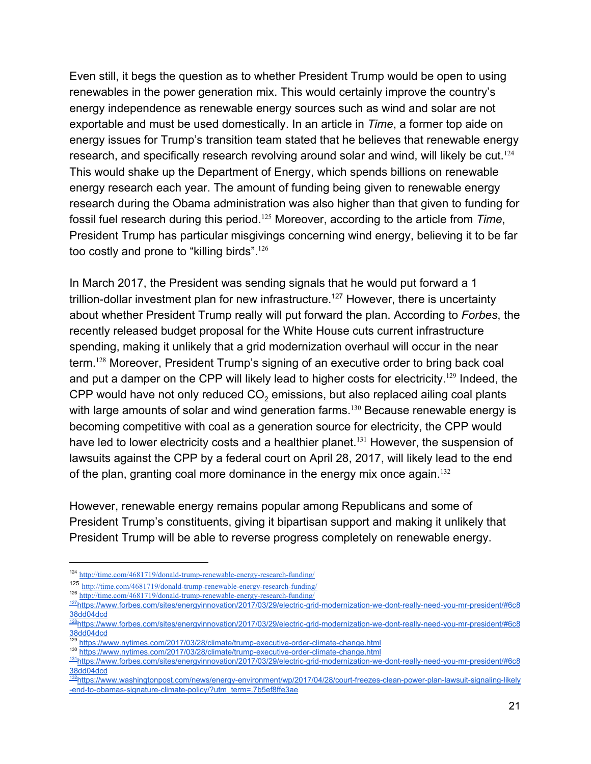Even still, it begs the question as to whether President Trump would be open to using renewables in the power generation mix. This would certainly improve the country's energy independence as renewable energy sources such as wind and solar are not exportable and must be used domestically. In an article in *Time*, a former top aide on energy issues for Trump's transition team stated that he believes that renewable energy research, and specifically research revolving around solar and wind, will likely be cut.<sup>124</sup> This would shake up the Department of Energy, which spends billions on renewable energy research each year. The amount of funding being given to renewable energy research during the Obama administration was also higher than that given to funding for fossil fuel research during this period.<sup>125</sup> Moreover, according to the article from Time, President Trump has particular misgivings concerning wind energy, believing it to be far too costly and prone to "killing birds".<sup>126</sup>

In March 2017, the President was sending signals that he would put forward a 1 trillion-dollar investment plan for new infrastructure.<sup>127</sup> However, there is uncertainty about whether President Trump really will put forward the plan. According to *Forbes*, the recently released budget proposal for the White House cuts current infrastructure spending, making it unlikely that a grid modernization overhaul will occur in the near term.<sup>128</sup> Moreover, President Trump's signing of an executive order to bring back coal and put a damper on the CPP will likely lead to higher costs for electricity.<sup>129</sup> Indeed, the CPP would have not only reduced  $\mathsf{CO}_2$  emissions, but also replaced ailing coal plants with large amounts of solar and wind generation farms.<sup>130</sup> Because renewable energy is becoming competitive with coal as a generation source for electricity, the CPP would have led to lower electricity costs and a healthier planet.<sup>131</sup> However, the suspension of lawsuits against the CPP by a federal court on April 28, 2017, will likely lead to the end of the plan, granting coal more dominance in the energy mix once again.<sup>132</sup>

However, renewable energy remains popular among Republicans and some of President Trump's constituents, giving it bipartisan support and making it unlikely that President Trump will be able to reverse progress completely on renewable energy.

<sup>124</sup> <http://time.com/4681719/donald-trump-renewable-energy-research-funding/>

<sup>125</sup> <http://time.com/4681719/donald-trump-renewable-energy-research-funding/>

<sup>126</sup> <http://time.com/4681719/donald-trump-renewable-energy-research-funding/>

<sup>127</sup>[https://www.forbes.com/sites/energyinnovation/2017/03/29/electric-grid-modernization-we-dont-really-need-you-mr-president/#6c8](https://www.forbes.com/sites/energyinnovation/2017/03/29/electric-grid-modernization-we-dont-really-need-you-mr-president/#6c838dd04dcd) [38dd04dcd](https://www.forbes.com/sites/energyinnovation/2017/03/29/electric-grid-modernization-we-dont-really-need-you-mr-president/#6c838dd04dcd)

<sup>128</sup>[https://www.forbes.com/sites/energyinnovation/2017/03/29/electric-grid-modernization-we-dont-really-need-you-mr-president/#6c8](https://www.forbes.com/sites/energyinnovation/2017/03/29/electric-grid-modernization-we-dont-really-need-you-mr-president/#6c838dd04dcd) [38dd04dcd](https://www.forbes.com/sites/energyinnovation/2017/03/29/electric-grid-modernization-we-dont-really-need-you-mr-president/#6c838dd04dcd)

<https://www.nytimes.com/2017/03/28/climate/trump-executive-order-climate-change.html>

<sup>130</sup> <https://www.nytimes.com/2017/03/28/climate/trump-executive-order-climate-change.html>

<sup>131</sup>[https://www.forbes.com/sites/energyinnovation/2017/03/29/electric-grid-modernization-we-dont-really-need-you-mr-president/#6c8](https://www.forbes.com/sites/energyinnovation/2017/03/29/electric-grid-modernization-we-dont-really-need-you-mr-president/#6c838dd04dcd) [38dd04dcd](https://www.forbes.com/sites/energyinnovation/2017/03/29/electric-grid-modernization-we-dont-really-need-you-mr-president/#6c838dd04dcd)

<sup>132</sup>[https://www.washingtonpost.com/news/energy-environment/wp/2017/04/28/court-freezes-clean-power-plan-lawsuit-signaling-likely](https://www.washingtonpost.com/news/energy-environment/wp/2017/04/28/court-freezes-clean-power-plan-lawsuit-signaling-likely-end-to-obamas-signature-climate-policy/?utm_term=.7b5ef8ffe3ae) [-end-to-obamas-signature-climate-policy/?utm\\_term=.7b5ef8ffe3ae](https://www.washingtonpost.com/news/energy-environment/wp/2017/04/28/court-freezes-clean-power-plan-lawsuit-signaling-likely-end-to-obamas-signature-climate-policy/?utm_term=.7b5ef8ffe3ae)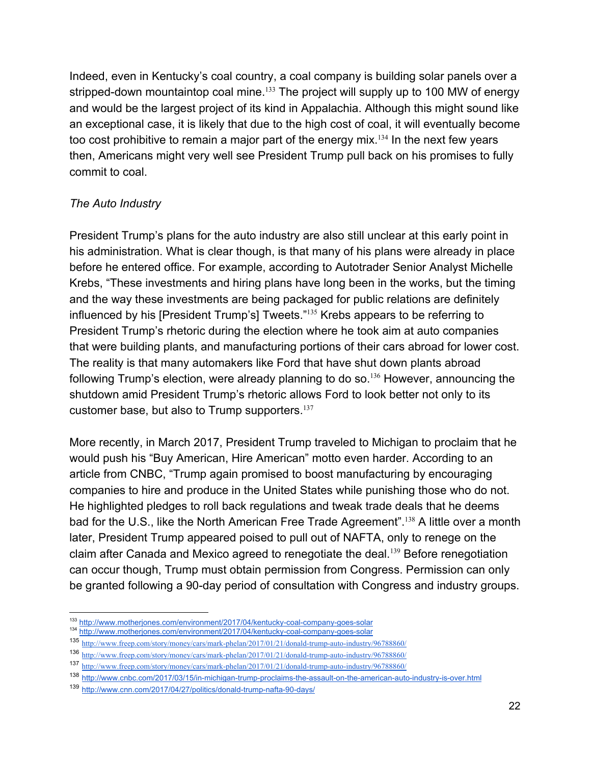Indeed, even in Kentucky's coal country, a coal company is building solar panels over a stripped-down mountaintop coal mine.  $133$  The project will supply up to 100 MW of energy and would be the largest project of its kind in Appalachia. Although this might sound like an exceptional case, it is likely that due to the high cost of coal, it will eventually become too cost prohibitive to remain a major part of the energy mix.<sup>134</sup> In the next few years then, Americans might very well see President Trump pull back on his promises to fully commit to coal.

#### *The Auto Industry*

President Trump's plans for the auto industry are also still unclear at this early point in his administration. What is clear though, is that many of his plans were already in place before he entered office. For example, according to Autotrader Senior Analyst Michelle Krebs, "These investments and hiring plans have long been in the works, but the timing and the way these investments are being packaged for public relations are definitely influenced by his [President Trump's] Tweets."<sup>135</sup> Krebs appears to be referring to President Trump's rhetoric during the election where he took aim at auto companies that were building plants, and manufacturing portions of their cars abroad for lower cost. The reality is that many automakers like Ford that have shut down plants abroad following Trump's election, were already planning to do so.<sup>136</sup> However, announcing the shutdown amid President Trump's rhetoric allows Ford to look better not only to its customer base, but also to Trump supporters.<sup>137</sup>

More recently, in March 2017, President Trump traveled to Michigan to proclaim that he would push his "Buy American, Hire American" motto even harder. According to an article from CNBC, "Trump again promised to boost manufacturing by encouraging companies to hire and produce in the United States while punishing those who do not. He highlighted pledges to roll back regulations and tweak trade deals that he deems bad for the U.S., like the North American Free Trade Agreement".<sup>138</sup> A little over a month later, President Trump appeared poised to pull out of NAFTA, only to renege on the claim after Canada and Mexico agreed to renegotiate the deal.<sup>139</sup> Before renegotiation can occur though, Trump must obtain permission from Congress. Permission can only be granted following a 90-day period of consultation with Congress and industry groups.

<sup>133</sup> <http://www.motherjones.com/environment/2017/04/kentucky-coal-company-goes-solar>

<sup>134</sup> <http://www.motherjones.com/environment/2017/04/kentucky-coal-company-goes-solar>

<sup>135</sup> <http://www.freep.com/story/money/cars/mark-phelan/2017/01/21/donald-trump-auto-industry/96788860/>

<sup>136</sup> <http://www.freep.com/story/money/cars/mark-phelan/2017/01/21/donald-trump-auto-industry/96788860/>

<sup>137</sup> <http://www.freep.com/story/money/cars/mark-phelan/2017/01/21/donald-trump-auto-industry/96788860/>

<sup>138</sup> <http://www.cnbc.com/2017/03/15/in-michigan-trump-proclaims-the-assault-on-the-american-auto-industry-is-over.html>

<sup>139</sup> <http://www.cnn.com/2017/04/27/politics/donald-trump-nafta-90-days/>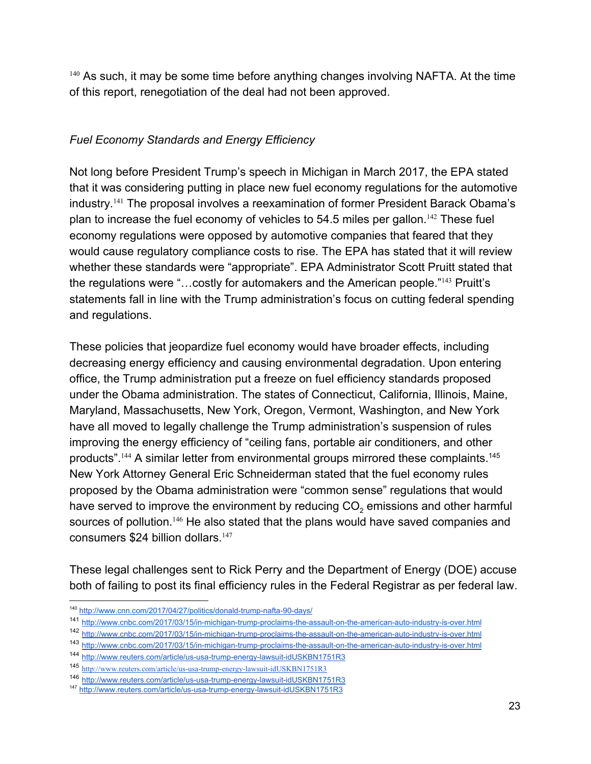$140$  As such, it may be some time before anything changes involving NAFTA. At the time of this report, renegotiation of the deal had not been approved.

### *Fuel Economy Standards and Energy Efficiency*

Not long before President Trump's speech in Michigan in March 2017, the EPA stated that it was considering putting in place new fuel economy regulations for the automotive industry.<sup>141</sup> The proposal involves a reexamination of former President Barack Obama's plan to increase the fuel economy of vehicles to  $54.5$  miles per gallon.<sup>142</sup> These fuel economy regulations were opposed by automotive companies that feared that they would cause regulatory compliance costs to rise. The EPA has stated that it will review whether these standards were "appropriate". EPA Administrator Scott Pruitt stated that the regulations were "...costly for automakers and the American people." $143$  Pruitt's statements fall in line with the Trump administration's focus on cutting federal spending and regulations.

These policies that jeopardize fuel economy would have broader effects, including decreasing energy efficiency and causing environmental degradation. Upon entering office, the Trump administration put a freeze on fuel efficiency standards proposed under the Obama administration. The states of Connecticut, California, Illinois, Maine, Maryland, Massachusetts, New York, Oregon, Vermont, Washington, and New York have all moved to legally challenge the Trump administration's suspension of rules improving the energy efficiency of "ceiling fans, portable air conditioners, and other products".  $144$  A similar letter from environmental groups mirrored these complaints.  $145$ New York Attorney General Eric Schneiderman stated that the fuel economy rules proposed by the Obama administration were "common sense" regulations that would have served to improve the environment by reducing CO<sub>2</sub> emissions and other harmful sources of pollution.<sup>146</sup> He also stated that the plans would have saved companies and consumers \$24 billion dollars.<sup>147</sup>

These legal challenges sent to Rick Perry and the Department of Energy (DOE) accuse both of failing to post its final efficiency rules in the Federal Registrar as per federal law.

<sup>140</sup> <http://www.cnn.com/2017/04/27/politics/donald-trump-nafta-90-days/>

<sup>141</sup> <http://www.cnbc.com/2017/03/15/in-michigan-trump-proclaims-the-assault-on-the-american-auto-industry-is-over.html>

<sup>142</sup> <http://www.cnbc.com/2017/03/15/in-michigan-trump-proclaims-the-assault-on-the-american-auto-industry-is-over.html>

<sup>143</sup> <http://www.cnbc.com/2017/03/15/in-michigan-trump-proclaims-the-assault-on-the-american-auto-industry-is-over.html>

<sup>144</sup> <http://www.reuters.com/article/us-usa-trump-energy-lawsuit-idUSKBN1751R3>

<sup>145</sup> <http://www.reuters.com/article/us-usa-trump-energy-lawsuit-idUSKBN1751R3>

<sup>146</sup> <http://www.reuters.com/article/us-usa-trump-energy-lawsuit-idUSKBN1751R3>

<sup>147</sup> <http://www.reuters.com/article/us-usa-trump-energy-lawsuit-idUSKBN1751R3>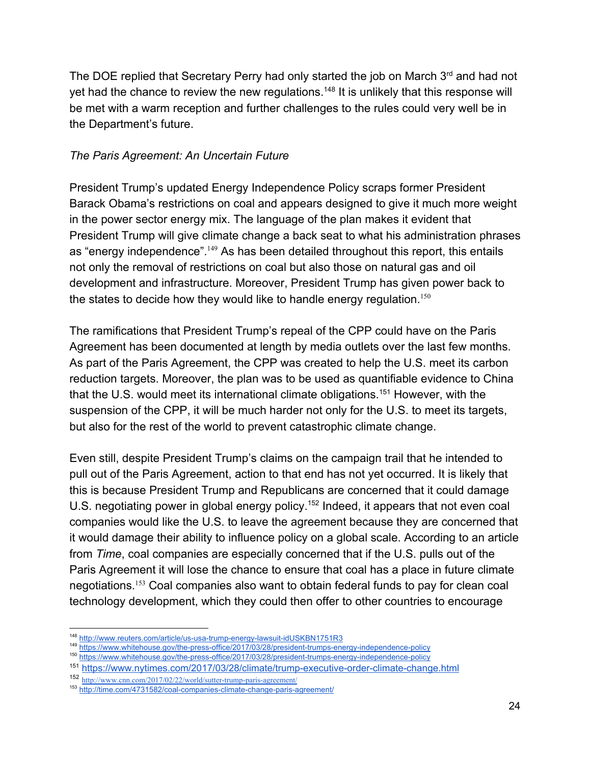The DOE replied that Secretary Perry had only started the job on March 3<sup>rd</sup> and had not yet had the chance to review the new regulations.<sup>148</sup> It is unlikely that this response will be met with a warm reception and further challenges to the rules could very well be in the Department's future.

#### *The Paris Agreement: An Uncertain Future*

President Trump's updated Energy Independence Policy scraps former President Barack Obama's restrictions on coal and appears designed to give it much more weight in the power sector energy mix. The language of the plan makes it evident that President Trump will give climate change a back seat to what his administration phrases as "energy independence".  $149$  As has been detailed throughout this report, this entails not only the removal of restrictions on coal but also those on natural gas and oil development and infrastructure. Moreover, President Trump has given power back to the states to decide how they would like to handle energy regulation.<sup>150</sup>

The ramifications that President Trump's repeal of the CPP could have on the Paris Agreement has been documented at length by media outlets over the last few months. As part of the Paris Agreement, the CPP was created to help the U.S. meet its carbon reduction targets. Moreover, the plan was to be used as quantifiable evidence to China that the U.S. would meet its international climate obligations.<sup>151</sup> However, with the suspension of the CPP, it will be much harder not only for the U.S. to meet its targets, but also for the rest of the world to prevent catastrophic climate change.

Even still, despite President Trump's claims on the campaign trail that he intended to pull out of the Paris Agreement, action to that end has not yet occurred. It is likely that this is because President Trump and Republicans are concerned that it could damage U.S. negotiating power in global energy policy.<sup>152</sup> Indeed, it appears that not even coal companies would like the U.S. to leave the agreement because they are concerned that it would damage their ability to influence policy on a global scale. According to an article from *Time*, coal companies are especially concerned that if the U.S. pulls out of the Paris Agreement it will lose the chance to ensure that coal has a place in future climate negotiations.  $153$  Coal companies also want to obtain federal funds to pay for clean coal technology development, which they could then offer to other countries to encourage

<sup>148</sup> <http://www.reuters.com/article/us-usa-trump-energy-lawsuit-idUSKBN1751R3>

<sup>149</sup> <https://www.whitehouse.gov/the-press-office/2017/03/28/president-trumps-energy-independence-policy>

<sup>150</sup> <https://www.whitehouse.gov/the-press-office/2017/03/28/president-trumps-energy-independence-policy>

<sup>151</sup> <https://www.nytimes.com/2017/03/28/climate/trump-executive-order-climate-change.html>

<sup>152</sup> <http://www.cnn.com/2017/02/22/world/sutter-trump-paris-agreement/>

<sup>153</sup> <http://time.com/4731582/coal-companies-climate-change-paris-agreement/>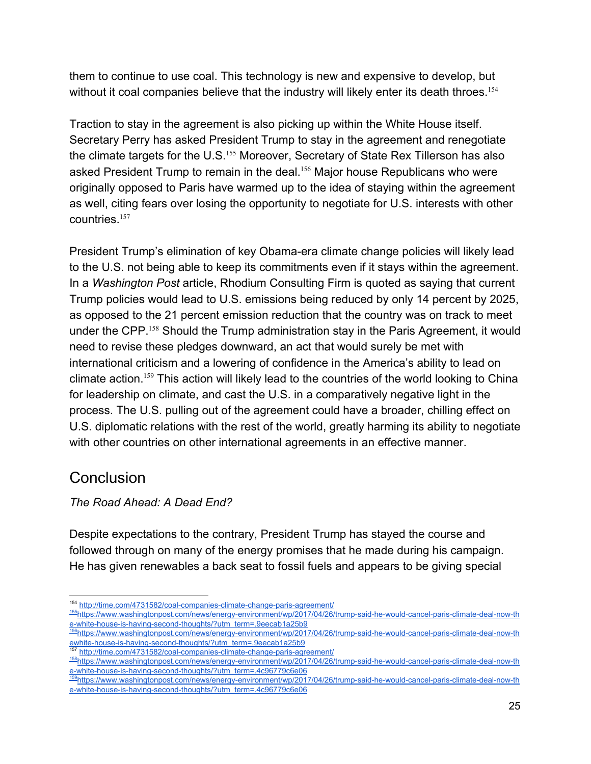them to continue to use coal. This technology is new and expensive to develop, but without it coal companies believe that the industry will likely enter its death throes.<sup>154</sup>

Traction to stay in the agreement is also picking up within the White House itself. Secretary Perry has asked President Trump to stay in the agreement and renegotiate the climate targets for the U.S. $155$  Moreover, Secretary of State Rex Tillerson has also asked President Trump to remain in the deal.<sup>156</sup> Major house Republicans who were originally opposed to Paris have warmed up to the idea of staying within the agreement as well, citing fears over losing the opportunity to negotiate for U.S. interests with other countries.<sup>157</sup>

President Trump's elimination of key Obama-era climate change policies will likely lead to the U.S. not being able to keep its commitments even if it stays within the agreement. In a *Washington Post* article, Rhodium Consulting Firm is quoted as saying that current Trump policies would lead to U.S. emissions being reduced by only 14 percent by 2025, as opposed to the 21 percent emission reduction that the country was on track to meet under the CPP.<sup>158</sup> Should the Trump administration stay in the Paris Agreement, it would need to revise these pledges downward, an act that would surely be met with international criticism and a lowering of confidence in the America's ability to lead on climate action.<sup>159</sup> This action will likely lead to the countries of the world looking to China for leadership on climate, and cast the U.S. in a comparatively negative light in the process. The U.S. pulling out of the agreement could have a broader, chilling effect on U.S. diplomatic relations with the rest of the world, greatly harming its ability to negotiate with other countries on other international agreements in an effective manner.

### **Conclusion**

### *The Road Ahead: A Dead End?*

Despite expectations to the contrary, President Trump has stayed the course and followed through on many of the energy promises that he made during his campaign. He has given renewables a back seat to fossil fuels and appears to be giving special

<sup>154</sup> <http://time.com/4731582/coal-companies-climate-change-paris-agreement/>

<sup>155</sup>[https://www.washingtonpost.com/news/energy-environment/wp/2017/04/26/trump-said-he-would-cancel-paris-climate-deal-now-th](https://www.washingtonpost.com/news/energy-environment/wp/2017/04/26/trump-said-he-would-cancel-paris-climate-deal-now-the-white-house-is-having-second-thoughts/?utm_term=.9eecab1a25b9) [e-white-house-is-having-second-thoughts/?utm\\_term=.9eecab1a25b9](https://www.washingtonpost.com/news/energy-environment/wp/2017/04/26/trump-said-he-would-cancel-paris-climate-deal-now-the-white-house-is-having-second-thoughts/?utm_term=.9eecab1a25b9)

<sup>156</sup>[https://www.washingtonpost.com/news/energy-environment/wp/2017/04/26/trump-said-he-would-cancel-paris-climate-deal-now-th](https://www.washingtonpost.com/news/energy-environment/wp/2017/04/26/trump-said-he-would-cancel-paris-climate-deal-now-the-white-house-is-having-second-thoughts/?utm_term=.9eecab1a25b9) [ewhite-house-is-having-second-thoughts/?utm\\_term=.9eecab1a25b9](https://www.washingtonpost.com/news/energy-environment/wp/2017/04/26/trump-said-he-would-cancel-paris-climate-deal-now-the-white-house-is-having-second-thoughts/?utm_term=.9eecab1a25b9)<br><sup>157</sup> http://time.second-thoughts/?utm\_term=.9eecab1a25b9

<http://time.com/4731582/coal-companies-climate-change-paris-agreement/>

<sup>158</sup>[https://www.washingtonpost.com/news/energy-environment/wp/2017/04/26/trump-said-he-would-cancel-paris-climate-deal-now-th](https://www.washingtonpost.com/news/energy-environment/wp/2017/04/26/trump-said-he-would-cancel-paris-climate-deal-now-the-white-house-is-having-second-thoughts/?utm_term=.4c96779c6e06) [e-white-house-is-having-second-thoughts/?utm\\_term=.4c96779c6e06](https://www.washingtonpost.com/news/energy-environment/wp/2017/04/26/trump-said-he-would-cancel-paris-climate-deal-now-the-white-house-is-having-second-thoughts/?utm_term=.4c96779c6e06)

<sup>159</sup>[https://www.washingtonpost.com/news/energy-environment/wp/2017/04/26/trump-said-he-would-cancel-paris-climate-deal-now-th](https://www.washingtonpost.com/news/energy-environment/wp/2017/04/26/trump-said-he-would-cancel-paris-climate-deal-now-the-white-house-is-having-second-thoughts/?utm_term=.4c96779c6e06) [e-white-house-is-having-second-thoughts/?utm\\_term=.4c96779c6e06](https://www.washingtonpost.com/news/energy-environment/wp/2017/04/26/trump-said-he-would-cancel-paris-climate-deal-now-the-white-house-is-having-second-thoughts/?utm_term=.4c96779c6e06)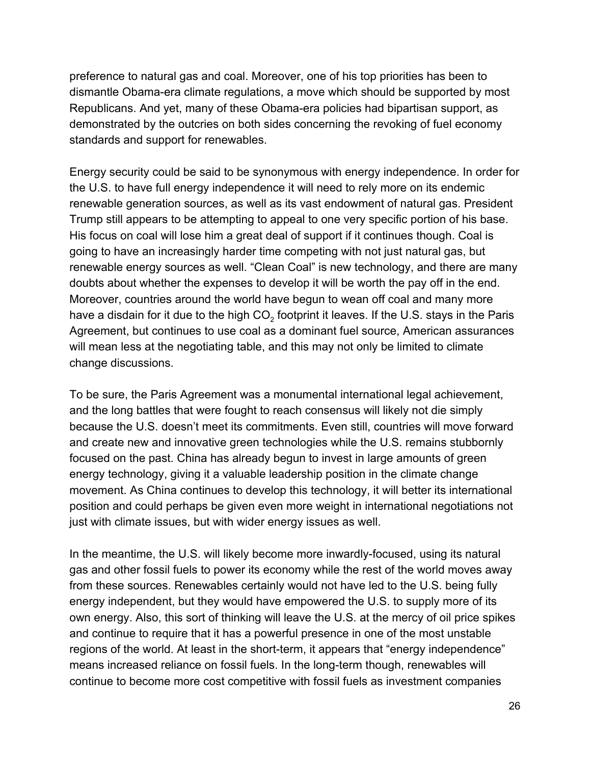preference to natural gas and coal. Moreover, one of his top priorities has been to dismantle Obama-era climate regulations, a move which should be supported by most Republicans. And yet, many of these Obama-era policies had bipartisan support, as demonstrated by the outcries on both sides concerning the revoking of fuel economy standards and support for renewables.

Energy security could be said to be synonymous with energy independence. In order for the U.S. to have full energy independence it will need to rely more on its endemic renewable generation sources, as well as its vast endowment of natural gas. President Trump still appears to be attempting to appeal to one very specific portion of his base. His focus on coal will lose him a great deal of support if it continues though. Coal is going to have an increasingly harder time competing with not just natural gas, but renewable energy sources as well. "Clean Coal" is new technology, and there are many doubts about whether the expenses to develop it will be worth the pay off in the end. Moreover, countries around the world have begun to wean off coal and many more have a disdain for it due to the high CO<sub>2</sub> footprint it leaves. If the U.S. stays in the Paris Agreement, but continues to use coal as a dominant fuel source, American assurances will mean less at the negotiating table, and this may not only be limited to climate change discussions.

To be sure, the Paris Agreement was a monumental international legal achievement, and the long battles that were fought to reach consensus will likely not die simply because the U.S. doesn't meet its commitments. Even still, countries will move forward and create new and innovative green technologies while the U.S. remains stubbornly focused on the past. China has already begun to invest in large amounts of green energy technology, giving it a valuable leadership position in the climate change movement. As China continues to develop this technology, it will better its international position and could perhaps be given even more weight in international negotiations not just with climate issues, but with wider energy issues as well.

In the meantime, the U.S. will likely become more inwardly-focused, using its natural gas and other fossil fuels to power its economy while the rest of the world moves away from these sources. Renewables certainly would not have led to the U.S. being fully energy independent, but they would have empowered the U.S. to supply more of its own energy. Also, this sort of thinking will leave the U.S. at the mercy of oil price spikes and continue to require that it has a powerful presence in one of the most unstable regions of the world. At least in the short-term, it appears that "energy independence" means increased reliance on fossil fuels. In the long-term though, renewables will continue to become more cost competitive with fossil fuels as investment companies